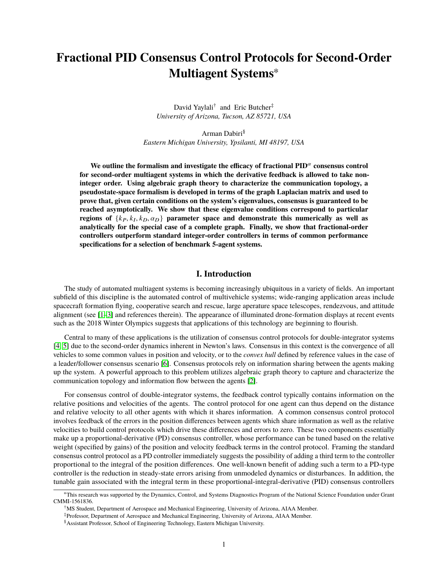# **Fractional PID Consensus Control Protocols for Second-Order Multiagent Systems**<sup>∗</sup>

David Yaylali<sup>†</sup> and Eric Butcher<sup>‡</sup> *University of Arizona, Tucson, AZ 85721, USA*

Arman Dabiri§ *Eastern Michigan University, Ypsilanti, MI 48197, USA*

We outline the formalism and investigate the efficacy of fractional  $PID^{\alpha}$  consensus control **for second-order multiagent systems in which the derivative feedback is allowed to take noninteger order. Using algebraic graph theory to characterize the communication topology, a pseudostate-space formalism is developed in terms of the graph Laplacian matrix and used to prove that, given certain conditions on the system's eigenvalues, consensus is guaranteed to be reached asymptotically. We show that these eigenvalue conditions correspond to particular regions of**  $\{k_P, k_I, k_D, \alpha_D\}$  **parameter space and demonstrate this numerically as well as**<br>analytically for the special case of a complete graph. Finally, we show that fractional-order **analytically for the special case of a complete graph. Finally, we show that fractional-order controllers outperform standard integer-order controllers in terms of common performance specifications for a selection of benchmark 5-agent systems.**

## **I. Introduction**

The study of automated multiagent systems is becoming increasingly ubiquitous in a variety of fields. An important subfield of this discipline is the automated control of multivehicle systems; wide-ranging application areas include spacecraft formation flying, cooperative search and rescue, large aperature space telescopes, rendezvous, and attitude alignment (see [\[1](#page-21-0)[–3\]](#page-21-1) and references therein). The appearance of illuminated drone-formation displays at recent events such as the 2018 Winter Olympics suggests that applications of this technology are beginning to flourish.

Central to many of these applications is the utilization of consensus control protocols for double-integrator systems [\[4,](#page-21-2) [5\]](#page-21-3) due to the second-order dynamics inherent in Newton's laws. Consensus in this context is the convergence of all vehicles to some common values in position and velocity, or to the *convex hull* defined by reference values in the case of a leader/follower consensus scenario [\[6\]](#page-21-4). Consensus protocols rely on information sharing between the agents making up the system. A powerful approach to this problem utilizes algebraic graph theory to capture and characterize the communication topology and information flow between the agents [\[2\]](#page-21-5).

For consensus control of double-integrator systems, the feedback control typically contains information on the relative positions and velocities of the agents. The control protocol for one agent can thus depend on the distance and relative velocity to all other agents with which it shares information. A common consensus control protocol involves feedback of the errors in the position differences between agents which share information as well as the relative velocities to build control protocols which drive these differences and errors to zero. These two components essentially make up a proportional-derivative (PD) consensus controller, whose performance can be tuned based on the relative weight (specified by gains) of the position and velocity feedback terms in the control protocol. Framing the standard consensus control protocol as a PD controller immediately suggests the possibility of adding a third term to the controller proportional to the integral of the position differences. One well-known benefit of adding such a term to a PD-type controller is the reduction in steady-state errors arising from unmodeled dynamics or disturbances. In addition, the tunable gain associated with the integral term in these proportional-integral-derivative (PID) consensus controllers

<sup>∗</sup>This research was supported by the Dynamics, Control, and Systems Diagnostics Program of the National Science Foundation under Grant CMMI-1561836.

<sup>†</sup>MS Student, Department of Aerospace and Mechanical Engineering, University of Arizona, AIAA Member.

<sup>‡</sup>Professor, Department of Aerospace and Mechanical Engineering, University of Arizona, AIAA Member.

<sup>§</sup>Assistant Professor, School of Engineering Technology, Eastern Michigan University.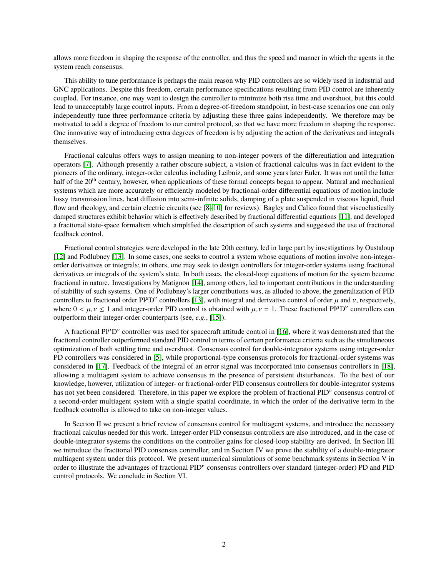allows more freedom in shaping the response of the controller, and thus the speed and manner in which the agents in the system reach consensus.

This ability to tune performance is perhaps the main reason why PID controllers are so widely used in industrial and GNC applications. Despite this freedom, certain performance specifications resulting from PID control are inherently coupled. For instance, one may want to design the controller to minimize both rise time and overshoot, but this could lead to unacceptably large control inputs. From a degree-of-freedom standpoint, in best-case scenarios one can only independently tune three performance criteria by adjusting these three gains independently. We therefore may be motivated to add a degree of freedom to our control protocol, so that we have more freedom in shaping the response. One innovative way of introducing extra degrees of freedom is by adjusting the action of the derivatives and integrals themselves.

Fractional calculus offers ways to assign meaning to non-integer powers of the differentiation and integration operators [\[7\]](#page-21-6). Although presently a rather obscure subject, a vision of fractional calculus was in fact evident to the pioneers of the ordinary, integer-order calculus including Leibniz, and some years later Euler. It was not until the latter half of the 20<sup>th</sup> century, however, when applications of these formal concepts began to appear. Natural and mechanical systems which are more accurately or efficiently modeled by fractional-order differential equations of motion include lossy transmission lines, heat diffusion into semi-infinite solids, damping of a plate suspended in viscous liquid, fluid flow and rheology, and certain electric circuits (see [8-[10\]](#page-21-8) for reviews). Bagley and Calico found that viscoelastically damped structures exhibit behavior which is effectively described by fractional differential equations [\[11\]](#page-21-9), and developed a fractional state-space formalism which simplified the description of such systems and suggested the use of fractional feedback control.

Fractional control strategies were developed in the late 20th century, led in large part by investigations by Oustaloup [\[12\]](#page-21-10) and Podlubney [\[13\]](#page-21-11). In some cases, one seeks to control a system whose equations of motion involve non-integerorder derivatives or integrals; in others, one may seek to design controllers for integer-order systems using fractional derivatives or integrals of the system's state. In both cases, the closed-loop equations of motion for the system become fractional in nature. Investigations by Matignon [\[14\]](#page-21-12), among others, led to important contributions in the understanding of stability of such systems. One of Podlubney's larger contributions was, as alluded to above, the generalization of PID controllers to fractional order  $P I^{\mu} D^{\nu}$  controllers [\[13\]](#page-21-11), with integral and derivative control of order  $\mu$  and  $\nu$ , respectively, where  $0 \le \mu \le 1$  and integer-order PID control is obtained with  $\mu \nu = 1$ . These where  $0 < \mu$ ,  $\nu \le 1$  and integer-order PID control is obtained with  $\mu$ ,  $\nu = 1$ . These fractional PI<sup> $\mu$ </sup>D<sup> $\nu$ </sup> controllers can outperform their integer-order counterparts (see e.g. 155) outperform their integer-order counterparts (see, *e.g.*, [\[15\]](#page-22-0)).

A fractional  $PI^{\mu}D^{\nu}$  controller was used for spacecraft attitude control in [\[16\]](#page-22-1), where it was demonstrated that the fractional controller outperformed standard PID control in terms of certain performance criteria such as the simultaneous optimization of both settling time and overshoot. Consensus control for double-integrator systems using integer-order PD controllers was considered in [\[5\]](#page-21-3), while proportional-type consensus protocols for fractional-order systems was considered in [\[17\]](#page-22-2). Feedback of the integral of an error signal was incorporated into consensus controllers in [\[18\]](#page-22-3), allowing a multiagent system to achieve consensus in the presence of persistent disturbances. To the best of our knowledge, however, utilization of integer- or fractional-order PID consensus controllers for double-integrator systems has not yet been considered. Therefore, in this paper we explore the problem of fractional PID<sup>y</sup> consensus control of a second-order multiagent system with a single spatial coordinate, in which the order of the derivative term in the feedback controller is allowed to take on non-integer values.

In Section II we present a brief review of consensus control for multiagent systems, and introduce the necessary fractional calculus needed for this work. Integer-order PID consensus controllers are also introduced, and in the case of double-integrator systems the conditions on the controller gains for closed-loop stability are derived. In Section III we introduce the fractional PID consensus controller, and in Section IV we prove the stability of a double-integrator multiagent system under this protocol. We present numerical simulations of some benchmark systems in Section V in order to illustrate the advantages of fractional PID<sup>y</sup> consensus controllers over standard (integer-order) PD and PID control protocols. We conclude in Section VI.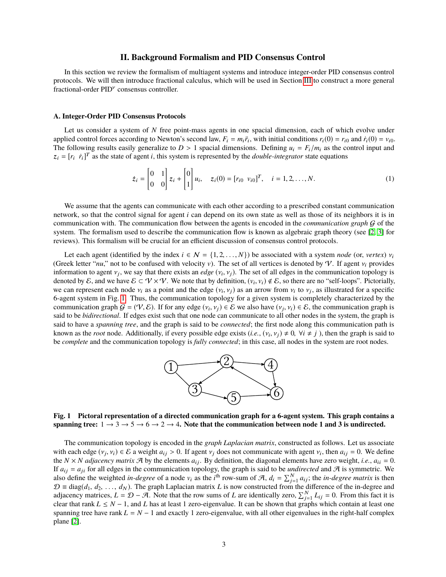## **II. Background Formalism and PID Consensus Control**

In this section we review the formalism of multiagent systems and introduce integer-order PID consensus control protocols. We will then introduce fractional calculus, which will be used in Section [III](#page-6-0) to construct a more general fractional-order PID<sup>*v*</sup> consensus controller.

#### <span id="page-2-2"></span>**A. Integer-Order PID Consensus Protocols**

Let us consider a system of N free point-mass agents in one spacial dimension, each of which evolve under applied control forces according to Newton's second law,  $F_i = m_i \ddot{r}_i$ , with initial conditions  $r_i(0) = r_{i0}$  and  $\dot{r}_i(0) = v_{i0}$ . The following results easily generalize to  $D > 1$  spacial dimensions. Defining  $u_i = F_i/m_i$  as the control input and  $z_i = [r_i \dot{r}_i]^T$  as the state of agent *i*, this system is represented by the *double-integrator* state equations

<span id="page-2-1"></span>
$$
\dot{z}_i = \begin{bmatrix} 0 & 1 \\ 0 & 0 \end{bmatrix} z_i + \begin{bmatrix} 0 \\ 1 \end{bmatrix} u_i, \quad z_i(0) = [r_{i0} \ v_{i0}]^T, \quad i = 1, 2, ..., N.
$$
 (1)

We assume that the agents can communicate with each other according to a prescribed constant communication network, so that the control signal for agent *i* can depend on its own state as well as those of its neighbors it is in communication with. The communication flow between the agents is encoded in the *communication graph* G of the system. The formalism used to describe the communication flow is known as algebraic graph theory (see [\[2,](#page-21-5) [3\]](#page-21-1) for reviews). This formalism will be crucial for an efficient discussion of consensus control protocols.

Let each agent (identified by the index  $i \in \mathcal{N} = \{1, 2, ..., N\}$ ) be associated with a system *node* (or, *vertex*)  $v_i$ (Greek letter "*nu*," not to be confused with velocity v). The set of all vertices is denoted by V. If agent  $v_i$  provides information to agent  $v_j$ , we say that there exists an *edge*  $(v_i, v_j)$ . The set of all edges in the communication topology is<br>denoted by  $\mathcal{E}$  and we have  $\mathcal{E} \subset V \times V$ . We note that by definition  $(v, v_i) \notin \mathcal{E}$  so t denoted by E, and we have  $\mathcal{E} \subset \mathcal{V} \times \mathcal{V}$ . We note that by definition,  $(v_i, v_i) \notin \mathcal{E}$ , so there are no "self-loops". Pictorially, we can represent each node  $v_i$  as a point and the edge  $(v_i, v_j)$  as an arrow from  $v_i$  to  $v_j$ , as illustrated for a specific  $\kappa$ -agent system in Fig. 1. Thus, the communication topology for a given system is completely 6-agent system in Fig. [1.](#page-2-0) Thus, the communication topology for a given system is completely characterized by the communication graph  $G = (\mathcal{V}, \mathcal{E})$ . If for any edge  $(v_i, v_j) \in \mathcal{E}$  we also have  $(v_j, v_i) \in \mathcal{E}$ , the communication graph is said to be *hidirectional*. If edges exist such that one node can communicate to all other n said to be *bidirectional*. If edges exist such that one node can communicate to all other nodes in the system, the graph is said to have a *spanning tree*, and the graph is said to be *connected*; the first node along this communication path is known as the *root* node. Additionally, if every possible edge exists  $(i.e., (v_i, v_j) \neq 0, \forall i \neq j)$ , then the graph is said to be *complete* and the communication topology is *fully connected*; in this case, all nodes in the be *complete* and the communication topology is *fully connected*; in this case, all nodes in the system are root nodes.



<span id="page-2-0"></span>**Fig. 1 Pictoral representation of a directed communication graph for a 6-agent system. This graph contains a** spanning tree:  $1 \rightarrow 3 \rightarrow 5 \rightarrow 6 \rightarrow 2 \rightarrow 4$ . Note that the communication between node 1 and 3 is undirected.

The communication topology is encoded in the *graph Laplacian matrix*, constructed as follows. Let us associate with each edge  $(v_j, v_i) \in \mathcal{E}$  a weight  $a_{ij} > 0$ . If agent  $v_j$  does not communicate with agent  $v_i$ , then  $a_{ij} = 0$ . We define the  $N \times N$  adjacency matrix  $\mathcal{A}$  by the elements  $a_{ij}$ . By definition, the diagonal el the  $N \times N$  *adjacency matrix*  $\mathcal{A}$  by the elements  $a_{ij}$ . By definition, the diagonal elements have zero weight, *i.e.*,  $a_{ii} = 0$ . If  $a_{ij} = a_{ji}$  for all edges in the communication topology, the graph is said to be *undirected* and  $A$  is symmetric. We also define the weighted *in-degree* of a node  $v_i$  as the *i*<sup>th</sup> row-sum of  $A$ ,  $d_i = \sum_{j=1}^{N} a_{ij}$ ; the *in-degree matrix* is then  $\mathcal{D} \equiv \text{diag}(d_1, d_2, \ldots, d_N)$ . The graph Laplacian matrix *L* is now constructed from the difference of the in-degree and adjacency matrices,  $L = \mathcal{D} - \mathcal{A}$ . Note that the row sums of *L* are identically zero,  $\sum_{j=1}^{N} L_{ij} = 0$ . From this fact it is clear that rank  $L \leq N - 1$ , and L has at least 1 zero-eigenvalue. It can be shown that graphs which contain at least one spanning tree have rank  $L = N - 1$  and exactly 1 zero-eigenvalue, with all other eigenvalues in the right-half complex plane [\[2\]](#page-21-5).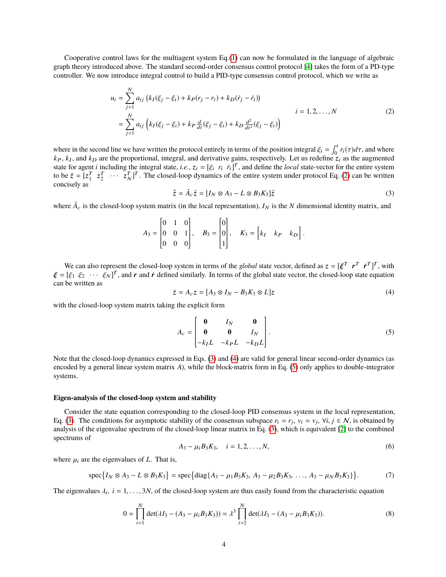Cooperative control laws for the multiagent system Eq.[\(1\)](#page-2-1) can now be formulated in the language of algebraic graph theory introduced above. The standard second-order consensus control protocol [\[4\]](#page-21-2) takes the form of a PD-type controller. We now introduce integral control to build a PID-type consensus control protocol, which we write as

<span id="page-3-0"></span>
$$
u_i = \sum_{j=1}^{N} a_{ij} \left( k_I(\xi_j - \xi_i) + k_P(r_j - r_i) + k_D(\dot{r}_j - \dot{r}_i) \right)
$$
  
= 
$$
\sum_{j=1}^{N} a_{ij} \left( k_I(\xi_j - \xi_i) + k_P \frac{d}{dt}(\xi_j - \xi_i) + k_D \frac{d^2}{dt^2}(\xi_j - \xi_i) \right)
$$
 (2)

where in the second line we have written the protocol entirely in terms of the position integral  $\xi_i = \int_0^t r_i(\tau) d\tau$ , and where  $k_B$  and  $k_B$  are the proportional, integral, and derivative gains, respectively. Let us red  $k_P$ ,  $k_I$ , and  $k_D$  are the proportional, integral, and derivative gains, respectively. Let us redefine  $z_i$  as the augmented state for agent *i* including the integral state, *i.e.*,  $z_i = [\xi_i \ r_i \ \dot{r}_i]^T$ , and define the *local* state-vector for the entire system to be  $\bar{z} = [\tau_i^T \ \tau_i^T \ \dots \ \tau_i^T]^T$ . The closed-loop dynamics of the entire system to be  $\bar{z} = [z_1^T \ z_2^T \ \cdots \ z_N^T]^T$ . The closed-loop dynamics of the entire system under protocol Eq. [\(2\)](#page-3-0) can be written concisely as

<span id="page-3-1"></span>
$$
\dot{\bar{z}} = \bar{A}_c \bar{z} = [I_N \otimes A_3 - L \otimes B_3 K_3] \bar{z}
$$
\n(3)

where  $\bar{A}_c$  is the closed-loop system matrix (in the local representation),  $I_N$  is the *N* dimensional identity matrix, and

$$
A_3 = \begin{bmatrix} 0 & 1 & 0 \\ 0 & 0 & 1 \\ 0 & 0 & 0 \end{bmatrix}, \quad B_3 = \begin{bmatrix} 0 \\ 0 \\ 1 \end{bmatrix}, \quad K_3 = \begin{bmatrix} k_I & k_P & k_D \end{bmatrix}.
$$

We can also represent the closed-loop system in terms of the *global* state vector, defined as  $z = [\xi^T \tau^T \tau^T]^T$ , with  $[\xi, \xi_2, \dots, \xi_N]^T$  and  $\tau$  and  $\tau$  defined similarly. In terms of the global state vector, the clos  $\boldsymbol{\xi} = [\xi_1 \xi_2 \cdots \xi_N]^T$ , and r and r defined similarly. In terms of the global state vector, the closed-loop state equation can be written as can be written as

<span id="page-3-2"></span>
$$
\dot{z} = A_c z = [A_3 \otimes I_N - B_3 K_3 \otimes L]z \tag{4}
$$

with the closed-loop system matrix taking the explicit form

<span id="page-3-3"></span>
$$
A_c = \begin{bmatrix} \mathbf{0} & I_N & \mathbf{0} \\ \mathbf{0} & \mathbf{0} & I_N \\ -k_I L & -k_P L & -k_D L \end{bmatrix} . \tag{5}
$$

Note that the closed-loop dynamics expressed in Eqs. [\(3\)](#page-3-1) and [\(4\)](#page-3-2) are valid for general linear second-order dynamics (as encoded by a general linear system matrix *A*), while the block-matrix form in Eq. [\(5\)](#page-3-3) only applies to double-integrator systems.

#### **Eigen-analysis of the closed-loop system and stability**

Consider the state equation corresponding to the closed-loop PID consensus system in the local representation, Eq. [\(3\)](#page-3-1). The conditions for asymptotic stability of the consensus subspace  $r_i = r_j$ ,  $v_i = v_j$ ,  $\forall i, j \in N$ , is obtained by analysis of the cignovalue spectrum of the closed-loop linear matrix in Eq. (3), which is equivalent analysis of the eigenvalue spectrum of the closed-loop linear matrix in Eq. [\(3\)](#page-3-1), which is equivalent [\[2\]](#page-21-5) to the combined spectrums of

<span id="page-3-4"></span>
$$
A_3 - \mu_i B_3 K_3, \quad i = 1, 2, \dots, N,
$$
\n(6)

where  $\mu_i$  are the eigenvalues of *L*. That is,

$$
\operatorname{spec}\{I_N \otimes A_3 - L \otimes B_3 K_3\} = \operatorname{spec}\{\operatorname{diag}\{A_3 - \mu_1 B_3 K_3, A_3 - \mu_2 B_3 K_3, \dots, A_3 - \mu_N B_3 K_3\}\}.
$$
 (7)

The eigenvalues  $\lambda_i$ ,  $i = 1, ..., 3N$ , of the closed-loop system are thus easily found from the characteristic equation

$$
0 = \prod_{i=1}^{N} \det(\lambda I_3 - (A_3 - \mu_i B_3 K_3)) = \lambda^3 \prod_{i=2}^{N} \det(\lambda I_3 - (A_3 - \mu_i B_3 K_3)).
$$
 (8)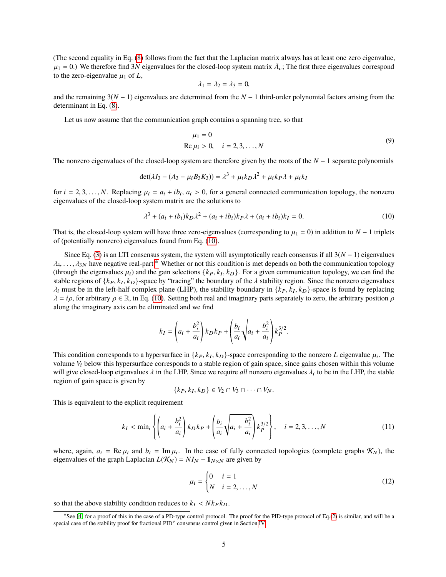(The second equality in Eq. [\(8\)](#page-3-4) follows from the fact that the Laplacian matrix always has at least one zero eigenvalue,  $\mu_1 = 0$ .) We therefore find 3*N* eigenvalues for the closed-loop system matrix  $\bar{A}_c$ ; The first three eigenvalues correspond to the zero-eigenvalue  $\mu_1$  of *I* to the zero-eigenvalue  $\mu_1$  of *L*,

$$
\lambda_1=\lambda_2=\lambda_3=0,
$$

and the remaining 3(*N* − 1) eigenvalues are determined from the *N* − 1 third-order polynomial factors arising from the determinant in Eq. [\(8\)](#page-3-4).

Let us now assume that the communication graph contains a spanning tree, so that

$$
\mu_1 = 0
$$
  
Re  $\mu_i > 0$ ,  $i = 2, 3, ..., N$  (9)

The nonzero eigenvalues of the closed-loop system are therefore given by the roots of the *N* − 1 separate polynomials

$$
\det(\lambda I_3 - (A_3 - \mu_i B_3 K_3)) = \lambda^3 + \mu_i k_D \lambda^2 + \mu_i k_P \lambda + \mu_i k_I
$$

for  $i = 2, 3, ..., N$ . Replacing  $\mu_i = a_i + ib_i$ ,  $a_i > 0$ , for a general connected communication topology, the nonzero ejemples of the closed-loop system matrix are the solutions to eigenvalues of the closed-loop system matrix are the solutions to

<span id="page-4-0"></span>
$$
\lambda^{3} + (a_{i} + ib_{i})k_{D}\lambda^{2} + (a_{i} + ib_{i})k_{P}\lambda + (a_{i} + ib_{i})k_{I} = 0.
$$
 (10)

That is, the closed-loop system will have three zero-eigenvalues (corresponding to  $\mu_1 = 0$ ) in addition to  $N - 1$  triplets of (potentially nonzero) eigenvalues found from Eq. [\(10\)](#page-4-0).

Since Eq. [\(3\)](#page-3-1) is an LTI consensus system, the system will asymptotically reach consensus if all 3(*N* − 1) eigenvalues  $\lambda_4, \ldots, \lambda_{3N}$  have negative real-part.\* Whether or not this condition is met depends on both the communication topology (through the eigenvalues  $\mu_i$ ) and the gain selections  $\{k_P, k_I, k_D\}$ . For a given communication topology, we can find the testible regions of  $\{k_P, k_I, k_D\}$ . stable regions of  $\{k_P, k_I, k_D\}$ -space by "tracing" the boundary of the  $\lambda$  stability region. Since the nonzero eigenvalues  $\lambda_i$  must be in the left-half complex plane (LHP), the stability boundary in  $\{k_P, k_I, k_D\}$ -space is found by replacing  $\lambda = i\rho$  for arbitrary  $\rho \in \mathbb{R}$  in Eq. (10). Setting both real and imaginary parts separately to  $\lambda = i\rho$ , for arbitrary  $\rho \in \mathbb{R}$ , in Eq. [\(10\)](#page-4-0). Setting both real and imaginary parts separately to zero, the arbitrary position  $\rho$ along the imaginary axis can be eliminated and we find

$$
k_I = \left(a_i + \frac{b_i^2}{a_i}\right) k_D k_P + \left(\frac{b_i}{a_i} \sqrt{a_i + \frac{b_i^2}{a_i}}\right) k_P^{3/2}.
$$

This condition corresponds to a hypersurface in  $\{k_P, k_I, k_D\}$ -space corresponding to the nonzero *L* eigenvalue  $\mu_i$ . The volume *V*, below this hypersurface corresponds to a stable region of gain space, since gains cho volume  $V_i$  below this hypersurface corresponds to a stable region of gain space, since gains chosen within this volume will give closed-loop eigenvalues  $\lambda$  in the LHP. Since we require *all* nonzero eigenvalues  $\lambda_i$  to be in the LHP, the stable region of gain space is given by region of gain space is given by

$$
\{k_P, k_I, k_D\} \in V_2 \cap V_3 \cap \cdots \cap V_N.
$$

This is equivalent to the explicit requirement

$$
k_I < \min_i \left\{ \left( a_i + \frac{b_i^2}{a_i} \right) k_D k_P + \left( \frac{b_i}{a_i} \sqrt{a_i + \frac{b_i^2}{a_i}} \right) k_P^{3/2} \right\}, \quad i = 2, 3, \dots, N \tag{11}
$$

where, again,  $a_i = \text{Re } \mu_i$  and  $b_i = \text{Im } \mu_i$ . In the case of fully connected topologies (complete graphs  $\mathcal{K}_N$ ), the eigenvalues of the graph I aplacian  $I(\mathcal{K}_N) = N I_N = \mathbf{1}_N$  is are given by eigenvalues of the graph Laplacian  $L(K_N) = NI_N - 1_{N \times N}$  are given by

<span id="page-4-2"></span>
$$
\mu_i = \begin{cases} 0 & i = 1 \\ N & i = 2, \dots, N \end{cases} \tag{12}
$$

so that the above stability condition reduces to  $k_I < N k_P k_D$ .

<span id="page-4-1"></span><sup>∗</sup>See [\[4\]](#page-21-2) for a proof of this in the case of a PD-type control protocol. The proof for the PID-type protocol of Eq.[\(2\)](#page-3-0) is similar, and will be a special case of the stability proof for fractional PID<sup>v</sup> consensus control given in Section [IV.](#page-9-0)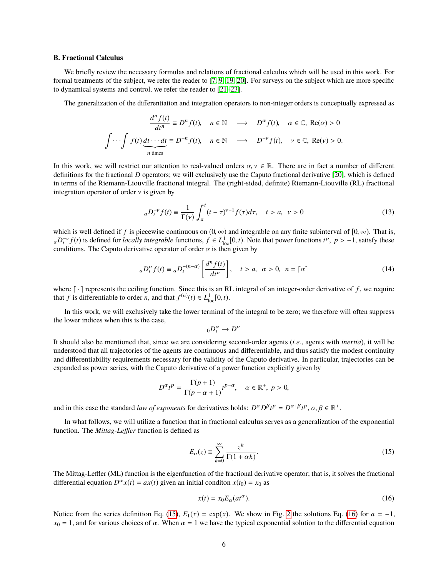#### <span id="page-5-2"></span>**B. Fractional Calculus**

We briefly review the necessary formulas and relations of fractional calculus which will be used in this work. For formal treatments of the subject, we refer the reader to [\[7,](#page-21-6) [9,](#page-21-13) [19,](#page-22-4) [20\]](#page-22-5). For surveys on the subject which are more specific to dynamical systems and control, we refer the reader to [\[21–](#page-22-6)[23\]](#page-22-7).

The generalization of the differentiation and integration operators to non-integer orders is conceptually expressed as

$$
\frac{d^n f(t)}{dt^n} \equiv D^n f(t), \quad n \in \mathbb{N} \quad \longrightarrow \quad D^\alpha f(t), \quad \alpha \in \mathbb{C}, \text{ Re}(\alpha) > 0
$$

$$
\int \cdots \int f(t) \underbrace{dt \cdots dt}_{n \text{ times}} \equiv D^{-n} f(t), \quad n \in \mathbb{N} \quad \longrightarrow \quad D^{-\nu} f(t), \quad \nu \in \mathbb{C}, \text{ Re}(\nu) > 0.
$$

In this work, we will restrict our attention to real-valued orders  $\alpha, \gamma \in \mathbb{R}$ . There are in fact a number of different definitions for the fractional *D* operators; we will exclusively use the Caputo fractional derivative [\[20\]](#page-22-5), which is defined in terms of the Riemann-Liouville fractional integral. The (right-sided, definite) Riemann-Liouville (RL) fractional integration operator of order  $\nu$  is given by

$$
{}_{a}D_{t}^{-\nu}f(t) \equiv \frac{1}{\Gamma(\nu)} \int_{a}^{t} (t-\tau)^{\nu-1} f(\tau) d\tau, \quad t > a, \ \nu > 0
$$
 (13)

which is well defined if *f* is piecewise continuous on  $(0, \infty)$  and integrable on any finite subinterval of  $[0, \infty)$ . That is,  $aD_t^{-\nu} f(t)$  is defined for *locally integrable* functions,  $f \in L^1_{loc}[0,t)$ . Note that power functions  $t^p$ ,  $p > -1$ , satisfy these conditions. The Caputo derivative operator of order  $\alpha$  is then given by conditions. The Caputo derivative operator of order  $\alpha$  is then given by

<span id="page-5-3"></span>
$$
{}_{a}D_{t}^{\alpha}f(t) \equiv {}_{a}D_{t}^{-(n-\alpha)}\left[\frac{d^{n}f(t)}{dt^{n}}\right], \quad t > a, \ \alpha > 0, \ n = \lceil \alpha \rceil \tag{14}
$$

where  $\lceil \cdot \rceil$  represents the ceiling function. Since this is an RL integral of an integer-order derivative of  $f$ , we require that *f* is differentiable to order *n*, and that  $f^{(n)}(t) \in L^1_{loc}[0, t)$ .

In this work, we will exclusively take the lower terminal of the integral to be zero; we therefore will often suppress the lower indices when this is the case,

$$
{}_{0}D_{t}^{\alpha} \to D^{\alpha}
$$

It should also be mentioned that, since we are considering second-order agents (*i.e.*, agents with *inertia*), it will be understood that all trajectories of the agents are continuous and differentiable, and thus satisfy the modest continuity and differentiability requirements necessary for the validity of the Caputo derivative. In particular, trajectories can be expanded as power series, with the Caputo derivative of a power function explicitly given by

$$
D^{\alpha}t^{p} = \frac{\Gamma(p+1)}{\Gamma(p-\alpha+1)}t^{p-\alpha}, \quad \alpha \in \mathbb{R}^{+}, p > 0,
$$

and in this case the standard *law of exponents* for derivatives holds:  $D^{\alpha}D^{\beta}t^p = D^{\alpha+\beta}t^p$ ,  $\alpha, \beta \in \mathbb{R}^+$ .

In what follows, we will utilize a function that in fractional calculus serves as a generalization of the exponential function. The *Mittag-Leffler* function is defined as

<span id="page-5-0"></span>
$$
E_{\alpha}(z) \equiv \sum_{k=0}^{\infty} \frac{z^k}{\Gamma(1 + \alpha k)}.
$$
\n(15)

The Mittag-Leffler (ML) function is the eigenfunction of the fractional derivative operator; that is, it solves the fractional differential equation  $D^{\alpha} x(t) = ax(t)$  given an initial conditon  $x(t_0) = x_0$  as

<span id="page-5-1"></span>
$$
x(t) = x_0 E_\alpha(at^\alpha). \tag{16}
$$

Notice from the series definition Eq. [\(15\)](#page-5-0),  $E_1(x) = \exp(x)$ . We show in Fig. [2](#page-6-1) the solutions Eq. [\(16\)](#page-5-1) for  $a = -1$ ,  $x_0 = 1$ , and for various choices of  $\alpha$ . When  $\alpha = 1$  we have the typical exponential solution to the differential equation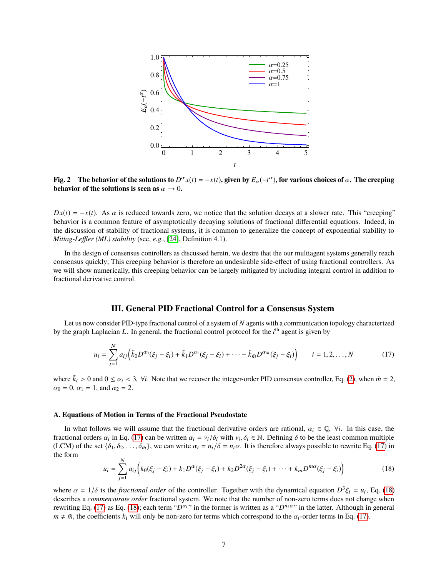<span id="page-6-1"></span>

**Fig. 2** The behavior of the solutions to  $D^{\alpha}x(t) = -x(t)$ , given by  $E_{\alpha}(-t^{\alpha})$ , for various choices of  $\alpha$ . The creeping behavior of the solutions is seen as  $\alpha \to 0$ **behavior of the solutions is seen as**  $\alpha \to 0$ .

 $Dx(t) = -x(t)$ . As  $\alpha$  is reduced towards zero, we notice that the solution decays at a slower rate. This "creeping" behavior is a common feature of asymptotically decaying solutions of fractional differential equations. Indeed, in the discussion of stability of fractional systems, it is common to generalize the concept of exponential stability to *Mittag-Leffler (ML) stability* (see, *e.g.*, [\[24\]](#page-22-8), Definition 4.1).

In the design of consensus controllers as discussed herein, we desire that the our multiagent systems generally reach consensus quickly; This creeping behavior is therefore an undesirable side-effect of using fractional controllers. As we will show numerically, this creeping behavior can be largely mitigated by including integral control in addition to fractional derivative control.

## **III. General PID Fractional Control for a Consensus System**

<span id="page-6-0"></span>Let us now consider PID-type fractional control of a system of *N* agents with a communication topology characterized by the graph Laplacian *L*. In general, the fractional control protocol for the *i*<sup>th</sup> agent is given by

<span id="page-6-2"></span>
$$
u_i = \sum_{j=1}^{N} a_{ij} \Big( \tilde{k}_0 D^{\alpha_0} (\xi_j - \xi_i) + \tilde{k}_1 D^{\alpha_1} (\xi_j - \xi_i) + \dots + \tilde{k}_{\tilde{m}} D^{\alpha_{\tilde{m}}} (\xi_j - \xi_i) \Big) \qquad i = 1, 2, \dots, N
$$
 (17)

where  $\tilde{k}_i > 0$  and  $0 \le \alpha_i < 3$ ,  $\forall i$ . Note that we recover the integer-order PID consensus controller, Eq. [\(2\)](#page-3-0), when  $\tilde{m} = 2$ ,  $\alpha_0 = 0, \alpha_1 = 1, \text{ and } \alpha_2 = 2.$ 

### **A. Equations of Motion in Terms of the Fractional Pseudostate**

In what follows we will assume that the fractional derivative orders are rational,  $\alpha_i \in \mathbb{Q}$ ,  $\forall i$ . In this case, the fractional orders  $\alpha_i$  in Eq. [\(17\)](#page-6-2) can be written  $\alpha_i = v_i/\delta_i$  with  $v_i, \delta_i \in \mathbb{N}$ . Defining  $\delta$  to be the least common multiple (LCM) of the set  $\{\delta_1, \delta_2, \ldots, \delta_n\}$  we can write  $\alpha_i = v_i/\delta = n_i \alpha$ . It is therefore alw (LCM) of the set  $\{\delta_1, \delta_2, \ldots, \delta_m\}$ , we can write  $\alpha_i = n_i/\delta = n_i\alpha$ . It is therefore always possible to rewrite Eq. [\(17\)](#page-6-2) in the form  $\overline{M}$ 

<span id="page-6-3"></span>
$$
u_i = \sum_{j=1}^{N} a_{ij} \Big( k_0(\xi_j - \xi_i) + k_1 D^{\alpha}(\xi_j - \xi_i) + k_2 D^{2\alpha}(\xi_j - \xi_i) + \dots + k_m D^{m\alpha}(\xi_j - \xi_i) \Big)
$$
(18)

where  $\alpha = 1/\delta$  is the *fractional order* of the controller. Together with the dynamical equation  $D^3 \xi_i = u_i$ , Eq. [\(18\)](#page-6-3) describes a commensurate order fractional system. We note that the number of non-zero terms does not describes a *commensurate order* fractional system. We note that the number of non-zero terms does not change when rewriting Eq. [\(17\)](#page-6-2) as Eq. [\(18\)](#page-6-3); each term " $D^{\alpha_i}$ " in the former is written as a " $D^{n_i}$ " in the latter. Although in general  $m \neq \tilde{m}$ , the coefficients  $k_i$  will only be non-zero for terms which correspond to the  $\alpha_i$ -order terms in Eq. [\(17\)](#page-6-2).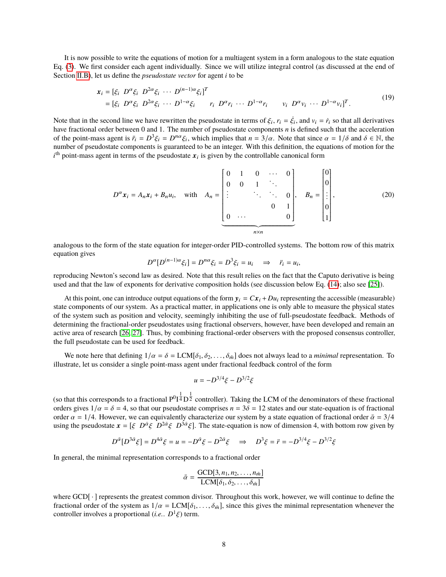It is now possible to write the equations of motion for a multiagent system in a form analogous to the state equation Eq. [\(3\)](#page-3-1). We first consider each agent individually. Since we will utilize integral control (as discussed at the end of Section [II.B\)](#page-5-2), let us define the *pseudostate vector* for agent *i* to be

$$
\mathbf{x}_i = [\xi_i \ D^\alpha \xi_i \ D^{2\alpha} \xi_i \ \cdots \ D^{(n-1)\alpha} \xi_i]^T
$$
  
=  $[\xi_i \ D^\alpha \xi_i \ D^{2\alpha} \xi_i \ \cdots \ D^{1-\alpha} \xi_i \ r_i \ D^\alpha r_i \ \cdots \ D^{1-\alpha} r_i \ v_i \ D^\alpha v_i \ \cdots \ D^{1-\alpha} v_i]^T.$  (19)

Note that in the second line we have rewritten the pseudostate in terms of  $\xi_i$ ,  $r_i = \dot{\xi}_i$ , and  $v_i = \dot{r}_i$  so that all derivatives have fractional order between 0 and 1. The number of pseudostate components *n* is def have fractional order between 0 and 1. The number of pseudostate components *n* is defined such that the acceleration of the point-mass agent is  $\ddot{r}_i = D^3 \xi_i = D^{n\alpha} \xi_i$ , which implies that  $n = 3/\alpha$ . Note that since  $\alpha = 1/\delta$  and  $\delta \in \mathbb{N}$ , the number of pseudostate components is guaranteed to be an integer. With this definition, th number of pseudostate components is guaranteed to be an integer. With this definition, the equations of motion for the  $i<sup>th</sup>$  point-mass agent in terms of the pseudostate  $x<sub>i</sub>$  is given by the controllable canonical form

<span id="page-7-1"></span><span id="page-7-0"></span>
$$
D^{\alpha}x_{i} = A_{n}x_{i} + B_{n}u_{i}, \text{ with } A_{n} = \begin{bmatrix} 0 & 1 & 0 & \cdots & 0 \\ 0 & 0 & 1 & \ddots & 0 \\ \vdots & & \ddots & \ddots & 0 \\ 0 & \cdots & & & 0 \end{bmatrix}, B_{n} = \begin{bmatrix} 0 \\ 0 \\ \vdots \\ 0 \\ 1 \end{bmatrix}, \qquad (20)
$$

analogous to the form of the state equation for integer-order PID-controlled systems. The bottom row of this matrix equation gives

$$
D^{\alpha}[D^{(n-1)\alpha}\xi_i] = D^{n\alpha}\xi_i = D^3\xi_i = u_i \quad \Rightarrow \quad \ddot{r_i} = u_i,
$$

reproducing Newton's second law as desired. Note that this result relies on the fact that the Caputo derivative is being used and that the law of exponents for derivative composition holds (see discussion below Eq. [\(14\)](#page-5-3); also see [\[25\]](#page-22-9)).

At this point, one can introduce output equations of the form  $y_i = Cx_i + Du_i$  representing the accessible (measurable) state components of our system. As a practical matter, in applications one is only able to measure the physical states of the system such as position and velocity, seemingly inhibiting the use of full-pseudostate feedback. Methods of determining the fractional-order pseudostates using fractional observers, however, have been developed and remain an active area of research [\[26,](#page-22-10) [27\]](#page-22-11). Thus, by combining fractional-order observers with the proposed consensus controller, the full pseudostate can be used for feedback.

We note here that defining  $1/\alpha = \delta = LCM[\delta_1, \delta_2, \ldots, \delta_m]$  does not always lead to a *minimal* representation. To illustrate, let us consider a single point-mass agent under fractional feedback control of the form

$$
u = -D^{3/4}\xi - D^{3/2}\xi
$$

(so that this corresponds to a fractional  $P^0I^{\frac{1}{4}}D^{\frac{1}{2}}$  controller). Taking the LCM of the denominators of these fractional orders gives  $1/\alpha = \delta = 4$ , so that our pseudostate comprises  $n = 3\delta = 12$  states and our state-equation is of fractional order  $\alpha = 1/4$ . However, we can equivalently characterize our system by a state equation of fractional order  $\bar{\alpha} = 3/4$ using the pseudostate  $x = [\xi \ D^{\bar{\alpha}} \xi \ D^{2\bar{\alpha}} \xi \ D^{3\bar{\alpha}} \xi]$ . The state-equation is now of dimension 4, with bottom row given by

$$
D^{\bar{\alpha}}[D^{3\bar{\alpha}}\xi] = D^{4\bar{\alpha}}\xi = u = -D^{\bar{\alpha}}\xi - D^{2\bar{\alpha}}\xi \implies D^{3}\xi = \ddot{r} = -D^{3/4}\xi - D^{3/2}\xi
$$

In general, the minimal representation corresponds to a fractional order

$$
\bar{\alpha} = \frac{\text{GCD}[3, n_1, n_2, \dots, n_{\tilde{m}}]}{\text{LCM}[\delta_1, \delta_2, \dots, \delta_{\tilde{m}}]}
$$

where GCD[ $\cdot$ ] represents the greatest common divisor. Throughout this work, however, we will continue to define the fractional order of the system as  $1/\alpha = LCM[\delta_1, \ldots, \delta_{\tilde{m}}]$ , since this gives the minimal representation whenever the controller involves a proportional (*i.e.*. *D* 1 ξ) term.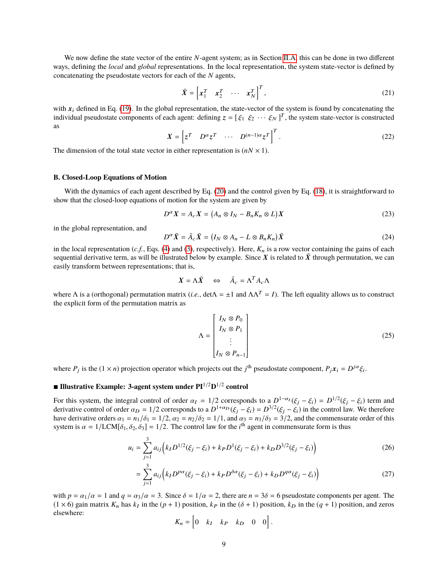We now define the state vector of the entire *N*-agent system; as in Section [II.A,](#page-2-2) this can be done in two different ways, defining the *local* and *global* representations. In the local representation, the system state-vector is defined by concatenating the pseudostate vectors for each of the *N* agents,

$$
\bar{X} = \begin{bmatrix} x_1^T & x_2^T & \cdots & x_N^T \end{bmatrix}^T,
$$
\n(21)

with  $x_i$  defined in Eq. [\(19\)](#page-7-0). In the global representation, the state-vector of the system is found by concatenating the individual pseudostate components of each agent: defining  $z = [\xi_1 \xi_2 \cdots \xi_N]^T$ , the system state-vector is constructed as

$$
X = \left[ z^T \quad D^\alpha z^T \quad \cdots \quad D^{(n-1)\alpha} z^T \right]^T.
$$
 (22)

The dimension of the total state vector in either representation is  $(nN \times 1)$ .

## **B. Closed-Loop Equations of Motion**

With the dynamics of each agent described by Eq. [\(20\)](#page-7-1) and the control given by Eq. [\(18\)](#page-6-3), it is straightforward to show that the closed-loop equations of motion for the system are given by

<span id="page-8-0"></span>
$$
D^{\alpha}X = A_cX = (A_n \otimes I_N - B_n K_n \otimes L)X
$$
\n(23)

in the global representation, and

<span id="page-8-1"></span>
$$
D^{\alpha}\bar{X} = \bar{A}_{c}\bar{X} = (I_{N} \otimes A_{n} - L \otimes B_{n}K_{n})\bar{X}
$$
\n(24)

in the local representation (*c.f.*, Eqs. [\(4\)](#page-3-2) and [\(3\)](#page-3-1), respectively). Here,  $K_n$  is a row vector containing the gains of each sequential derivative term, as will be illustrated below by example. Since X is related to  $\bar{X}$  through permutation, we can easily transform between representations; that is,

$$
X = \Lambda \bar{X} \quad \Leftrightarrow \quad \bar{A}_c = \Lambda^T A_c \Lambda
$$

where  $\Lambda$  is a (orthogonal) permutation matrix (*i.e.*, det $\Lambda = \pm 1$  and  $\Lambda \Lambda^T = I$ ). The left equality allows us to construct the explicit form of the permutation matrix as

$$
\Lambda = \begin{bmatrix} I_N \otimes P_0 \\ I_N \otimes P_1 \\ \vdots \\ I_N \otimes P_{n-1} \end{bmatrix}
$$
 (25)

where  $P_j$  is the  $(1 \times n)$  projection operator which projects out the *j*<sup>th</sup> pseudostate component,  $P_j x_i = D^{j\alpha} \xi_i$ .

## ■ Illustrative Example: 3-agent system under PI<sup>1/2</sup>D<sup>1/2</sup> control

For this system, the integral control of order  $\alpha_I = 1/2$  corresponds to a  $D^{1-\alpha_I}(\xi_j - \xi_i) = D^{1/2}(\xi_j - \xi_i)$  term and derivative control of order  $\alpha_D = 1/2$  corresponds to a  $D^{1+\alpha_D}(\xi_j - \xi_i) = D^{3/2}(\xi_j - \xi_i)$  in the control derivative control of order  $\alpha_D = 1/2$  corresponds to a  $D^{1+\alpha_D}(\xi_j - \xi_i) = D^{3/2}(\xi_j - \xi_i)$  in the control law. We therefore have derivative orders  $\alpha_1 = n_1/\delta_1 = 1/2$ ,  $\alpha_2 = n_2/\delta_2 = 1/1$ , and  $\alpha_3 = n_3/\delta_3 = 3/2$ , and the commensurate order of this system is  $\alpha = 1/LCM[\delta_1, \delta_2, \delta_3] = 1/2$ . The control law for the *i*<sup>th</sup> agent in commensurate form is thus

$$
u_i = \sum_{j=1}^{3} a_{ij} \left( k_I D^{1/2}(\xi_j - \xi_i) + k_P D^1(\xi_j - \xi_i) + k_D D^{3/2}(\xi_j - \xi_i) \right)
$$
(26)

$$
= \sum_{j=1}^{3} a_{ij} \Big( k_I D^{p\alpha} (\xi_j - \xi_i) + k_P D^{\delta \alpha} (\xi_j - \xi_i) + k_D D^{q\alpha} (\xi_j - \xi_i) \Big)
$$
(27)

with  $p = \alpha_1/\alpha = 1$  and  $q = \alpha_3/\alpha = 3$ . Since  $\delta = 1/\alpha = 2$ , there are  $n = 3\delta = 6$  pseudostate components per agent. The  $(1 \times 6)$  gain matrix  $K_n$  has  $k_I$  in the  $(p + 1)$  position,  $k_P$  in the  $(\delta + 1)$  position,  $k_D$  in the  $(q + 1)$  position, and zeros elsewhere:

$$
K_n = \begin{bmatrix} 0 & k_I & k_P & k_D & 0 & 0 \end{bmatrix}.
$$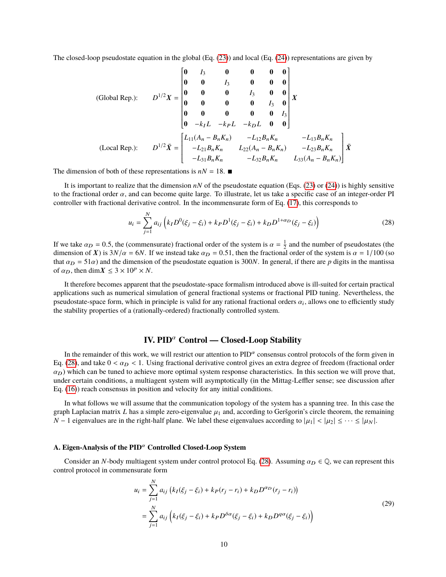The closed-loop pseudostate equation in the global (Eq. [\(23\)](#page-8-0)) and local (Eq. [\(24\)](#page-8-1)) representations are given by

(Global Rep.):

\n
$$
D^{1/2}X = \begin{bmatrix}\n0 & I_3 & 0 & 0 & 0 & 0 \\
0 & 0 & I_3 & 0 & 0 & 0 \\
0 & 0 & 0 & I_3 & 0 & 0 \\
0 & 0 & 0 & 0 & I_3 & 0 \\
0 & 0 & 0 & 0 & I_3 & 0 \\
0 & -k_L & -k_L & -k_L & 0 & 0\n\end{bmatrix} X
$$
\n(Local Rep.):

\n
$$
D^{1/2}\bar{X} = \begin{bmatrix}\nL_{11}(A_n - B_nK_n) & -L_{12}B_nK_n & -L_{13}B_nK_n \\
-L_{21}B_nK_n & L_{22}(A_n - B_nK_n) & -L_{23}B_nK_n \\
-L_{31}B_nK_n & -L_{32}B_nK_n & L_{33}(A_n - B_nK_n)\n\end{bmatrix} \bar{X}
$$

The dimension of both of these representations is  $nN = 18$ .

It is important to realize that the dimension  $nN$  of the pseudostate equation (Eqs. [\(23\)](#page-8-0) or [\(24\)](#page-8-1)) is highly sensitive to the fractional order  $\alpha$ , and can become quite large. To illustrate, let us take a specific case of an integer-order PI controller with fractional derivative control. In the incommensurate form of Eq. [\(17\)](#page-6-2), this corresponds to

$$
u_i = \sum_{j=1}^{N} a_{ij} \left( k_I D^0(\xi_j - \xi_i) + k_P D^1(\xi_j - \xi_i) + k_D D^{1+\alpha_D}(\xi_j - \xi_i) \right)
$$
(28)

<span id="page-9-1"></span>Ī

If we take  $\alpha_D = 0.5$ , the (commensurate) fractional order of the system is  $\alpha = \frac{1}{2}$  and the number of pseudostates (the dimension of **X**) is  $3N/\alpha = 6N$ . If we instead take  $\alpha_D = 0.51$ , then the fractional order of th dimension of X) is  $3N/\alpha = 6N$ . If we instead take  $\alpha_D = 0.51$ , then the fractional order of the system is  $\alpha = 1/100$  (so that  $\alpha_D = 51\alpha$ ) and the dimension of the pseudostate equation is 300*N*. In general, if there are *p* digits in the mantissa of  $\alpha_D$ , then dim $X \leq 3 \times 10^p \times N$ .

It therefore becomes apparent that the pseudostate-space formalism introduced above is ill-suited for certain practical applications such as numerical simulation of general fractional systems or fractional PID tuning. Nevertheless, the pseudostate-space form, which in principle is valid for any rational fractional orders  $\alpha_i$ , allows one to efficiently study<br>the stability properties of a (rationally-ordered) fractionally controlled system the stability properties of a (rationally-ordered) fractionally controlled system.

## **IV. PID**<sup>α</sup> **Control — Closed-Loop Stability**

<span id="page-9-0"></span>In the remainder of this work, we will restrict our attention to  $PID^{\alpha}$  consensus control protocols of the form given in Eq. [\(28\)](#page-9-1), and take  $0 < \alpha_D < 1$ . Using fractional derivative control gives an extra degree of freedom (fractional order  $\alpha_D$ ) which can be tuned to achieve more optimal system response characteristics. In this section we will prove that, under certain conditions, a multiagent system will asymptotically (in the Mittag-Leffler sense; see discussion after Eq. [\(16\)](#page-5-1)) reach consensus in position and velocity for any initial conditions.

In what follows we will assume that the communication topology of the system has a spanning tree. In this case the graph Laplacian matrix *L* has a simple zero-eigenvalue  $\mu_1$  and, according to Geršgorin's circle theorem, the remaining *N* − 1 eigenvalues are in the right-half plane. We label these eigenvalues according to  $|\mu_1| < |\mu_2| \leq \cdots \leq |\mu_N|$ .

## **A. Eigen-Analysis of the PID**<sup>α</sup> **Controlled Closed-Loop System**

Consider an *N*-body multiagent system under control protocol Eq. [\(28\)](#page-9-1). Assuming  $\alpha_D \in \mathbb{Q}$ , we can represent this control protocol in commensurate form

<span id="page-9-2"></span>
$$
u_i = \sum_{j=1}^{N} a_{ij} \left( k_I(\xi_j - \xi_i) + k_P(r_j - r_i) + k_D D^{\alpha_D}(r_j - r_i) \right)
$$
  
= 
$$
\sum_{j=1}^{N} a_{ij} \left( k_I(\xi_j - \xi_i) + k_P D^{\delta \alpha}(\xi_j - \xi_i) + k_D D^{q\alpha}(\xi_j - \xi_i) \right)
$$
 (29)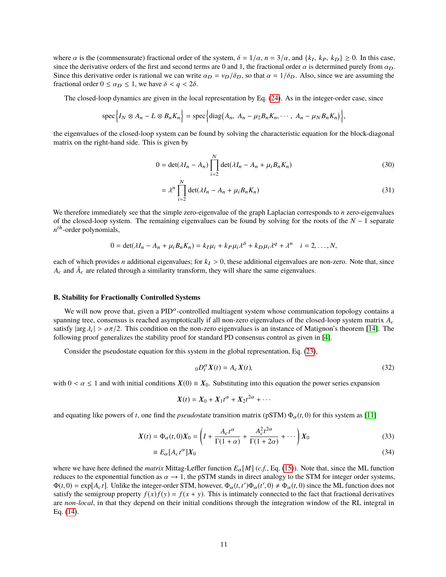where  $\alpha$  is the (commensurate) fractional order of the system,  $\delta = 1/\alpha$ ,  $n = 3/\alpha$ , and  $\{k_I, k_P, k_D\} \ge 0$ . In this case, since the derivative orders of the first and second terms are 0 and 1 the fractional order  $\alpha$  i since the derivative orders of the first and second terms are 0 and 1, the fractional order  $\alpha$  is determined purely from  $\alpha_D$ . Since this derivative order is rational we can write  $\alpha_D = v_D/\delta_D$ , so that  $\alpha = 1/\delta_D$ . Also, since we are assuming the fractional order  $0 \le \alpha_D \le 1$ , we have  $\delta < q < 2\delta$ .

The closed-loop dynamics are given in the local representation by Eq. [\(24\)](#page-8-1). As in the integer-order case, since

$$
\operatorname{spec}\Big\{I_N\otimes A_n-L\otimes B_nK_n\Big\}=\operatorname{spec}\Big\{\operatorname{diag}\big(A_n,\ A_n-\mu_2B_nK_n,\cdots,\ A_n-\mu_NB_nK_n\big)\Big\},\right\}
$$

the eigenvalues of the closed-loop system can be found by solving the characteristic equation for the block-diagonal matrix on the right-hand side. This is given by

$$
0 = \det(\lambda I_n - A_n) \prod_{i=2}^{N} \det(\lambda I_n - A_n + \mu_i B_n K_n)
$$
\n(30)

$$
= \lambda^n \prod_{i=2}^N \det(\lambda I_n - A_n + \mu_i B_n K_n)
$$
\n(31)

We therefore immediately see that the simple zero-eigenvalue of the graph Laplacian corresponds to *n* zero-eigenvalues of the closed-loop system. The remaining eigenvalues can be found by solving for the roots of the *N* − 1 separate  $n<sup>th</sup>$ -order polynomials,

$$
0 = \det(\lambda I_n - A_n + \mu_i B_n K_n) = k_I \mu_i + k_P \mu_i \lambda^{\delta} + k_D \mu_i \lambda^q + \lambda^n \quad i = 2, ..., N,
$$

each of which provides *n* additional eigenvalues; for  $k<sub>I</sub> > 0$ , these additional eigenvalues are non-zero. Note that, since  $A_c$  and  $\bar{A}_c$  are related through a similarity transform, they will share the same eigenvalues.

### **B. Stability for Fractionally Controlled Systems**

We will now prove that, given a  $PID^{\alpha}$ -controlled multiagent system whose communication topology contains a spanning tree, consensus is reached asymptotically if all non-zero eigenvalues of the closed-loop system matrix *A*<sup>c</sup> satisfy  $|\arg \lambda_i| > \alpha \pi/2$ . This condition on the non-zero eigenvalues is an instance of Matignon's theorem [\[14\]](#page-21-12). The following proof generalizes the stability proof for standard PD consensus control as given in [41]. following proof generalizes the stability proof for standard PD consensus control as given in [\[4\]](#page-21-2).

Consider the pseudostate equation for this system in the global representation, Eq. [\(23\)](#page-8-0),

$$
{}_{0}D_{t}^{\alpha}X(t) = A_{c}X(t),
$$
\n(32)

with  $0 < \alpha \le 1$  and with initial conditions  $X(0) \equiv X_0$ . Substituting into this equation the power series expansion

$$
X(t) = X_0 + X_1t^{\alpha} + X_2t^{2\alpha} + \cdots
$$

and equating like powers of *t*, one find the *pseudostate transition matrix* (pSTM)  $\Phi_{\alpha}(t, 0)$  for this system as [\[11\]](#page-21-9)

$$
X(t) = \Phi_{\alpha}(t,0)X_0 = \left(I + \frac{A_c t^{\alpha}}{\Gamma(1+\alpha)} + \frac{A_c^2 t^{2\alpha}}{\Gamma(1+2\alpha)} + \cdots \right)X_0
$$
\n(33)

$$
\equiv E_{\alpha} [A_{c} t^{\alpha}] X_{0} \tag{34}
$$

where we have here defined the *matrix* Mittag-Leffler function *<sup>E</sup>*α[*M*] (*c.f.*, Eq. [\(15\)](#page-5-0)). Note that, since the ML function reduces to the exponential function as  $\alpha \to 1$ , the pSTM stands in direct analogy to the STM for integer order systems,  $\Phi(t,0) = \exp[A_c t]$ . Unlike the integer-order STM, however,  $\Phi_{\alpha}(t,t')\Phi_{\alpha}(t',0) \neq \Phi_{\alpha}(t,0)$  since the ML function does not estistly the semigroup property  $f(x)f(y) = f(x+y)$ . This is intimately connected to the fact that fractio satisfy the semigroup property  $f(x)f(y) = f(x + y)$ . This is intimately connected to the fact that fractional derivatives are *non-local*, in that they depend on their initial conditions through the integration window of the RL integral in Eq. [\(14\)](#page-5-3).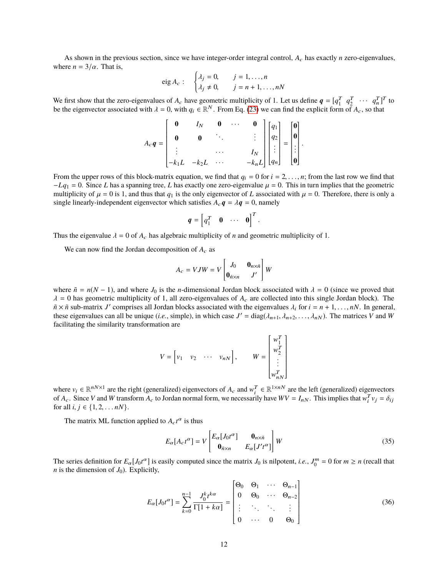As shown in the previous section, since we have integer-order integral control,  $A_c$  has exactly *n* zero-eigenvalues, where  $n = 3/\alpha$ . That is,

eig 
$$
A_c
$$
: 
$$
\begin{cases} \lambda_j = 0, & j = 1, ..., n \\ \lambda_j \neq 0, & j = n + 1, ..., nN \end{cases}
$$

We first show that the zero-eigenvalues of  $A_c$  have geometric multiplicity of 1. Let us define  $q = [q_1^T \ q_2^T \ \cdots \ q_n^T]^T$  to be the eigenvector associated with  $\lambda = 0$ , with  $q_i \in \mathbb{R}^N$ . From Eq. [\(23\)](#page-8-0) we can find the explicit form of  $A_c$ , so that

$$
A_c q = \begin{bmatrix} 0 & I_N & 0 & \cdots & 0 \\ 0 & 0 & \ddots & & \vdots \\ \vdots & & \cdots & & I_N \\ -k_1 L & -k_2 L & \cdots & & -k_n L \end{bmatrix} \begin{bmatrix} q_1 \\ q_2 \\ \vdots \\ q_n \end{bmatrix} = \begin{bmatrix} 0 \\ 0 \\ \vdots \\ 0 \end{bmatrix}.
$$

ta da ser a ser a construída de la construída de la construída de la construída de la construída de la construí<br>En 1930, en 1930, en 1930, en 1930, en 1930, en 1930, en 1930, en 1930, en 1930, en 1930, en 1930, en 1930, en From the upper rows of this block-matrix equation, we find that  $q_i = 0$  for  $i = 2, ..., n$ ; from the last row we find that  $-1$   $q_i - 0$ . Since I has a spanning tree I has exactly one zero-eigenvalue  $\mu = 0$ . This in turn impli  $-Lq_1 = 0$ . Since *L* has a spanning tree, *L* has exactly one zero-eigenvalue  $\mu = 0$ . This in turn implies that the geometric multiplicity of  $\mu = 0$  is 1, and thus that  $q_1$  is the only eigenvector of *L* associated with  $\mu = 0$ . Therefore, there is only a single linearly-independent eigenvector which satisfies  $A_c \mathbf{q} = \lambda \mathbf{q} = 0$ , namely

$$
\boldsymbol{q} = \begin{bmatrix} q_1^T & \mathbf{0} & \cdots & \mathbf{0} \end{bmatrix}^T
$$

Thus the eigenvalue  $\lambda = 0$  of  $A_c$  has algebraic multiplicity of *n* and geometric multiplicity of 1.

We can now find the Jordan decomposition of  $A_c$  as

$$
A_c = VJW = V \begin{bmatrix} J_0 & \mathbf{0}_{n \times \tilde{n}} \\ \mathbf{0}_{\tilde{n} \times n} & J' \end{bmatrix} W
$$

where  $\tilde{n} = n(N - 1)$ , and where  $J_0$  is the *n*-dimensional Jordan block associated with  $\lambda = 0$  (since we proved that  $\lambda = 0$  has geometric multiplicity of 1, all zero-eigenvalues of  $A_c$  are collected into this single Jordan block). The  $\tilde{n} \times \tilde{n}$  sub-matrix *J'* comprises all Jordan blocks associated with the eigenvalues  $\lambda_i$  for  $i = n + 1, \ldots, nN$ . In general, these eigenvalues can all be unique (*i.e.* simple) in which case  $I' = \text{diag}(\lambda_1, \lambda_2, \lambda_3, \$ these eigenvalues can all be unique (*i.e.*, simple), in which case  $J' = \text{diag}(\lambda_{n+1}, \lambda_{n+2}, \dots, \lambda_{nN})$ . The matrices *V* and *W* facilitating the similarity transformation are facilitating the similarity transformation are

$$
V = \begin{bmatrix} v_1 & v_2 & \cdots & v_{nN} \end{bmatrix}, \qquad W = \begin{bmatrix} w_1^T \\ w_2^T \\ \vdots \\ w_{nN}^T \end{bmatrix}
$$

 $\frac{1}{2}$ where  $v_i \in \mathbb{R}^{nN \times 1}$  are the right (generalized) eigenvectors of  $A_c$  and  $w_i^T \in \mathbb{R}^{1 \times nN}$  are the left (generalized) eigenvectors of *A<sub>c</sub>*. Since *V* and *W* transform *A<sub>c</sub>* to Jordan normal form, we necessarily have  $WV = I_{nN}$ . This implies that  $w_i^T v_j = \delta_{ij}$  for all  $i \in \{1, 2, ..., nN\}$ for all  $i, j \in \{1, 2, \ldots nN\}$ .

The matrix ML function applied to  $A_c t^{\alpha}$  is thus

<span id="page-11-0"></span>
$$
E_{\alpha}[A_{c}t^{\alpha}] = V \begin{bmatrix} E_{\alpha}[J_{0}t^{\alpha}] & \mathbf{0}_{n \times \tilde{n}} \\ \mathbf{0}_{\tilde{n} \times n} & E_{\alpha}[J't^{\alpha}] \end{bmatrix} W
$$
(35)

The series definition for  $E_{\alpha}[J_0 t^{\alpha}]$  is easily computed since the matrix  $J_0$  is nilpotent, *i.e.*,  $J_0^m = 0$  for  $m \ge n$  (recall that *n* is the dimension of  $J_0$ ). Explicitly,

$$
E_{\alpha}[J_0t^{\alpha}] = \sum_{k=0}^{n-1} \frac{J_0^k t^{k\alpha}}{\Gamma[1+k\alpha]} = \begin{bmatrix} \Theta_0 & \Theta_1 & \cdots & \Theta_{n-1} \\ 0 & \Theta_0 & \cdots & \Theta_{n-2} \\ \vdots & \ddots & \ddots & \vdots \\ 0 & \cdots & 0 & \Theta_0 \end{bmatrix}
$$
(36)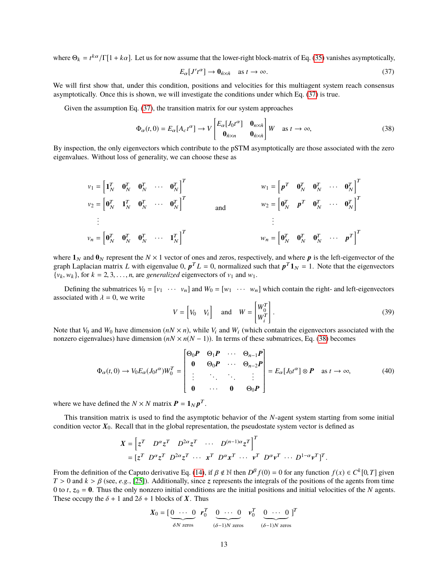where  $\Theta_k = t^{k\alpha}/\Gamma[1 + k\alpha]$ . Let us for now assume that the lower-right block-matrix of Eq. [\(35\)](#page-11-0) vanishes asymptotically,

<span id="page-12-0"></span>
$$
E_{\alpha}[J't^{\alpha}] \to \mathbf{0}_{\bar{n}\times\bar{n}} \quad \text{as } t \to \infty. \tag{37}
$$

We will first show that, under this condition, positions and velocities for this multiagent system reach consensus asymptotically. Once this is shown, we will investigate the conditions under which Eq. [\(37\)](#page-12-0) is true.

Given the assumption Eq. [\(37\)](#page-12-0), the transition matrix for our system approaches

<span id="page-12-1"></span>
$$
\Phi_{\alpha}(t,0) = E_{\alpha}[A_{c}t^{\alpha}] \to V \begin{bmatrix} E_{\alpha}[J_{0}t^{\alpha}] & \mathbf{0}_{n \times \tilde{n}} \\ \mathbf{0}_{\tilde{n} \times n} & \mathbf{0}_{\tilde{n} \times \tilde{n}} \end{bmatrix} W \text{ as } t \to \infty,
$$
\n(38)

By inspection, the only eigenvectors which contribute to the pSTM asymptotically are those associated with the zero eigenvalues. Without loss of generality, we can choose these as

$$
v_1 = \begin{bmatrix} \mathbf{1}_N^T & \mathbf{0}_N^T & \mathbf{0}_N^T & \cdots & \mathbf{0}_N^T \end{bmatrix}^T
$$
  
\n
$$
v_2 = \begin{bmatrix} \mathbf{0}_N^T & \mathbf{1}_N^T & \mathbf{0}_N^T & \cdots & \mathbf{0}_N^T \end{bmatrix}^T
$$
  
\n
$$
\vdots
$$
  
\n
$$
v_n = \begin{bmatrix} \mathbf{0}_N^T & \mathbf{0}_N^T & \mathbf{0}_N^T & \cdots & \mathbf{0}_N^T \end{bmatrix}^T
$$
  
\n
$$
\vdots
$$
  
\n
$$
v_n = \begin{bmatrix} \mathbf{0}_N^T & \mathbf{0}_N^T & \mathbf{0}_N^T & \cdots & \mathbf{0}_N^T \end{bmatrix}^T
$$
  
\n
$$
\vdots
$$
  
\n
$$
v_n = \begin{bmatrix} \mathbf{0}_N^T & \mathbf{0}_N^T & \mathbf{0}_N^T & \cdots & \mathbf{0}_N^T \end{bmatrix}^T
$$

where  $\mathbf{1}_N$  and  $\mathbf{0}_N$  represent the  $N \times 1$  vector of ones and zeros, respectively, and where **p** is the left-eigenvector of the graph Laplacian matrix L with eigenvalue 0,  $p^T L = 0$ , normalized such that  $p^T 1_N = 1$ . Note that the eigenvectors  $\{v_k, w_k\}$ , for  $k = 2, 3, \ldots, n$ , are *generalized* eigenvectors of  $v_1$  and  $w_1$ .

Defining the submatrices  $V_0 = [v_1 \cdots v_n]$  and  $W_0 = [w_1 \cdots w_n]$  which contain the right- and left-eigenvectors associated with  $\lambda = 0$ , we write

$$
V = \begin{bmatrix} V_0 & V_i \end{bmatrix} \quad \text{and} \quad W = \begin{bmatrix} W_0^T \\ W_i^T \end{bmatrix}.
$$
 (39)

Note that  $V_0$  and  $W_0$  have dimension  $(nN \times n)$ , while  $V_i$  and  $W_i$  (which contain the eigenvectors associated with the nonzero eigenvalues) have dimension  $(nN \times n(N-1))$ . In terms of these submatrices, Eq. [\(38\)](#page-12-1) becomes

<span id="page-12-2"></span>
$$
\Phi_{\alpha}(t,0) \to V_0 E_{\alpha}(J_0 t^{\alpha}) W_0^T = \begin{bmatrix} \Theta_0 P & \Theta_1 P & \cdots & \Theta_{n-1} P \\ \mathbf{0} & \Theta_0 P & \cdots & \Theta_{n-2} P \\ \vdots & \ddots & \ddots & \vdots \\ \mathbf{0} & \cdots & \mathbf{0} & \Theta_0 P \end{bmatrix} = E_{\alpha}[J_0 t^{\alpha}] \otimes P \text{ as } t \to \infty,
$$
\n(40)

where we have defined the  $N \times N$  matrix  $P = 1_N p^T$ .

This transition matrix is used to find the asymptotic behavior of the *N*-agent system starting from some initial condition vector  $X_0$ . Recall that in the global representation, the pseudostate system vector is defined as

$$
X = \begin{bmatrix} z^T & D^\alpha z^T & D^{2\alpha} z^T & \cdots & D^{(n-1)\alpha} z^T \end{bmatrix}^T
$$
  
= 
$$
[z^T D^\alpha z^T D^{2\alpha} z^T \cdots x^T D^\alpha x^T \cdots y^T D^\alpha y^T \cdots D^{1-\alpha} y^T]^T.
$$

From the definition of the Caputo derivative Eq. [\(14\)](#page-5-3), if  $\beta \notin \mathbb{N}$  then  $D^{\beta} f(0) = 0$  for any function  $f(x) \in C^{k}[0, T]$  given  $T > 0$  and  $k > \beta$  (see e.g. [251). Additionally since  $\tau$  represents the integrals of the  $T > 0$  and  $k > \beta$  (see, *e.g.*, [\[25\]](#page-22-9)). Additionally, since z represents the integrals of the positions of the agents from time 0 to *t*,  $z_0 = 0$ . Thus the only nonzero initial conditions are the initial positions and initial velocities of the *N* agents. These occupy the  $\delta + 1$  and  $2\delta + 1$  blocks of X. Thus

$$
X_0 = \begin{bmatrix} 0 & \cdots & 0 \\ \hline \delta N \ \text{zeros} \end{bmatrix} \quad \begin{matrix} r_0^T & 0 & \cdots & 0 \\ \hline (6-1)N \ \text{zeros} \end{matrix} \quad \begin{matrix} v_0^T & 0 & \cdots & 0 \\ \delta N \ \text{zeros} \end{matrix} \quad \begin{matrix} 0 & \cdots & 0 \\ \hline (6-1)N \ \text{zeros} \end{matrix}
$$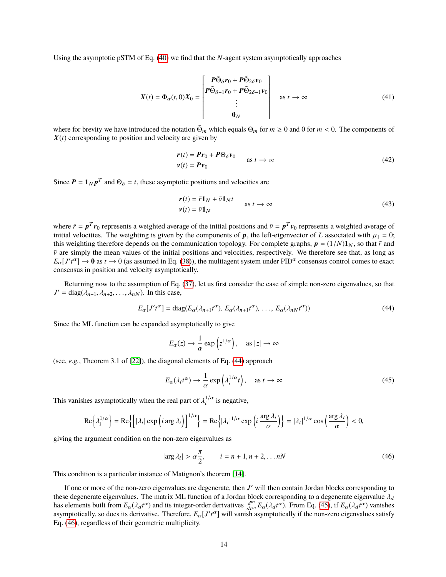Using the asymptotic pSTM of Eq. [\(40\)](#page-12-2) we find that the *N*-agent system asymptotically approaches

$$
X(t) = \Phi_{\alpha}(t,0)X_0 = \begin{bmatrix} P\tilde{\Theta}_{\delta}r_0 + P\tilde{\Theta}_{2\delta}\nu_0 \\ P\tilde{\Theta}_{\delta-1}r_0 + P\tilde{\Theta}_{2\delta-1}\nu_0 \\ \vdots \\ \Phi_N \end{bmatrix} \text{ as } t \to \infty
$$
 (41)

where for brevity we have introduced the notation  $\tilde{\Theta}_m$  which equals  $\Theta_m$  for  $m \ge 0$  and 0 for  $m < 0$ . The components of  $\mathbf{Y}(t)$  corresponding to position and velocity are given by  $X(t)$  corresponding to position and velocity are given by

<span id="page-13-3"></span>
$$
\mathbf{r}(t) = \mathbf{P}\mathbf{r}_0 + \mathbf{P}\Theta_\delta \mathbf{v}_0
$$
  
\n
$$
\mathbf{v}(t) = \mathbf{P}\mathbf{v}_0
$$
 as  $t \to \infty$  (42)

Since  $P = 1_N p^T$  and  $\Theta_{\delta} = t$ , these asymptotic positions and velocities are

<span id="page-13-4"></span>
$$
\mathbf{r}(t) = \bar{r}\mathbf{1}_N + \bar{v}\mathbf{1}_N t
$$
\n
$$
\mathbf{v}(t) = \bar{v}\mathbf{1}_N
$$
\n
$$
(43)
$$

where  $\bar{r} = p^T r_0$  represents a weighted average of the initial positions and  $\bar{v} = p^T v_0$  represents a weighted average of initial velocities. The weighting is given by the components of p, the left-eigenvector of L associated with  $\mu_1 = 0$ ; this weighting therefore depends on the communication topology. For complete graphs,  $p = (1/N)1_N$ , so that  $\bar{r}$  and  $\bar{v}$  are simply the mean values of the initial positions and velocities, respectively. We therefore see that, as long as  $E_{\alpha}[J't^{\alpha}] \to 0$  as  $t \to 0$  (as assumed in Eq. [\(38\)](#page-12-1)), the multiagent system under PID<sup> $\alpha$ </sup> consensus control comes to exact consensus in position and velocity asymptotically.

Returning now to the assumption of Eq. [\(37\)](#page-12-0), let us first consider the case of simple non-zero eigenvalues, so that  $J' = \text{diag}(\lambda_{n+1}, \lambda_{n+2}, \dots, \lambda_{nN})$ . In this case,

<span id="page-13-0"></span>
$$
E_{\alpha}[J't^{\alpha}] = \text{diag}(E_{\alpha}(\lambda_{n+1}t^{\alpha}), E_{\alpha}(\lambda_{n+1}t^{\alpha}), \dots, E_{\alpha}(\lambda_{nN}t^{\alpha}))
$$
\n(44)

Since the ML function can be expanded asymptotically to give

$$
E_{\alpha}(z) \to \frac{1}{\alpha} \exp(z^{1/\alpha}), \text{ as } |z| \to \infty
$$

(see, *e.g.*, Theorem 3.1 of [\[22\]](#page-22-12)), the diagonal elements of Eq. [\(44\)](#page-13-0) approach

<span id="page-13-1"></span>
$$
E_{\alpha}(\lambda_i t^{\alpha}) \to \frac{1}{\alpha} \exp\left(\lambda_i^{1/\alpha} t\right), \quad \text{as } t \to \infty \tag{45}
$$

This vanishes asymptotically when the real part of  $\lambda_i^{1/\alpha}$  is negative,

$$
\operatorname{Re}\left\{\lambda_i^{1/\alpha}\right\} = \operatorname{Re}\left\{\left[|\lambda_i| \exp\left(i \arg \lambda_i\right)\right]^{1/\alpha}\right\} = \operatorname{Re}\left\{|\lambda_i|^{1/\alpha} \exp\left(i \frac{\arg \lambda_i}{\alpha}\right)\right\} = |\lambda_i|^{1/\alpha} \cos\left(\frac{\arg \lambda_i}{\alpha}\right) < 0,
$$

giving the argument condition on the non-zero eigenvalues as

<span id="page-13-2"></span>
$$
|\arg \lambda_i| > \alpha \frac{\pi}{2}, \qquad i = n+1, n+2, \dots nN \tag{46}
$$

This condition is a particular instance of Matignon's theorem [\[14\]](#page-21-12).

If one or more of the non-zero eigenvalues are degenerate, then *J'* will then contain Jordan blocks corresponding to these degenerate eigenvalues. The matrix ML function of a Jordan block corresponding to a degenerate eigenvalue  $\lambda_d$ has elements built from  $E_{\alpha}(\lambda_d t^{\alpha})$  and its integer-order derivatives  $\frac{d^m}{dt^m}E_{\alpha}(\lambda_d t^{\alpha})$ . From Eq. [\(45\)](#page-13-1), if  $E_{\alpha}(\lambda_d t^{\alpha})$  vanishes asymptotically, so does its derivative. Therefore,  $E_{\alpha}[J't^{\alpha}]$  will vanish asymptotically if the non-zero eigenvalues satisfy<br>Eq. (46) regardless of their geometric multiplicity. Eq. [\(46\)](#page-13-2), regardless of their geometric multiplicity.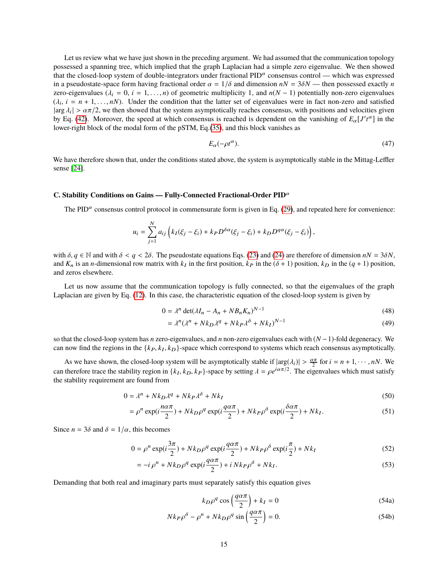Let us review what we have just shown in the preceding argument. We had assumed that the communication topology possessed a spanning tree, which implied that the graph Laplacian had a simple zero eigenvalue. We then showed that the closed-loop system of double-integrators under fractional  $PID^{\alpha}$  consensus control — which was expressed in a pseudostate-space form having fractional order  $\alpha = 1/\delta$  and dimension  $nN = 3\delta N$ — then possessed exactly *n* zero-eigenvalues ( $\lambda_i = 0$ ,  $i = 1, \ldots, n$ ) of geometric multiplicity 1, and  $n(N - 1)$  potentially non-zero eigenvalues  $(\lambda_i, i = n + 1, \dots, n)$ . Under the condition that the latter set of eigenvalues were in fact non-zero and satisfied large  $\lambda_i \ge \alpha \pi/2$  we then showed that the system asymptotically reaches consensus, with positions and veloci  $|\arg \lambda_i| > \alpha \pi/2$ , we then showed that the system asymptotically reaches consensus, with positions and velocities given<br>by Eq. (42). Moreover, the speed at which consensus is reached is dependent on the vanishing of E [  $I'/$ by Eq. [\(42\)](#page-13-3). Moreover, the speed at which consensus is reached is dependent on the vanishing of  $E_{\alpha}[J't^{\alpha}]$  in the lower right block of the model form of the pSTM. Eq. (35), and this block vanishes as lower-right block of the modal form of the pSTM, Eq.[\(35\)](#page-11-0), and this block vanishes as

$$
E_{\alpha}(-\rho t^{\alpha}).\tag{47}
$$

We have therefore shown that, under the conditions stated above, the system is asymptotically stable in the Mittag-Leffler sense [\[24\]](#page-22-8).

## **C. Stability Conditions on Gains — Fully-Connected Fractional-Order PID**<sup>α</sup>

The PID $\alpha$  consensus control protocol in commensurate form is given in Eq. [\(29\)](#page-9-2), and repeated here for convenience:

$$
u_i = \sum_{j=1}^{N} a_{ij} \left( k_I(\xi_j - \xi_i) + k_P D^{\delta \alpha}(\xi_j - \xi_i) + k_D D^{q\alpha}(\xi_j - \xi_i) \right),
$$

with  $\delta, q \in \mathbb{N}$  and with  $\delta < q < 2\delta$ . The pseudostate equations Eqs. [\(23\)](#page-8-0) and [\(24\)](#page-8-1) are therefore of dimension  $nN = 3\delta N$ , and  $K_n$  is an *n*-dimensional row matrix with  $k_I$  in the first position,  $k_P$  in the ( $\delta + 1$ ) position,  $k_D$  in the ( $q + 1$ ) position, and zeros elsewhere and zeros elsewhere.

Let us now assume that the communication topology is fully connected, so that the eigenvalues of the graph Laplacian are given by Eq. [\(12\)](#page-4-2). In this case, the characteristic equation of the closed-loop system is given by

$$
0 = \lambda^n \det(\lambda I_n - A_n + N B_n K_n)^{N-1}
$$
\n(48)

$$
= \lambda^n (\lambda^n + Nk_D \lambda^q + Nk_P \lambda^{\delta} + Nk_I)^{N-1}
$$
\n(49)

so that the closed-loop system has *n* zero-eigenvalues, and *n* non-zero eigenvalues each with (*N* −1)-fold degeneracy. We can now find the regions in the  $\{k_P, k_I, k_D\}$ -space which correspond to systems which reach consensus asymptotically.

As we have shown, the closed-loop system will be asymptotically stable if  $|\arg(\lambda_i)| > \frac{\alpha \pi}{2}$  for  $i = n + 1, \dots, nN$ . We therefore trees the stability region in  $\{k, k\}$  areas by setting  $\lambda = \cos(\alpha \pi/2)$ . The eigenvalues which can therefore trace the stability region in  $\{k_I, k_D, k_P\}$ -space by setting  $\lambda = \rho e^{i\alpha \pi/2}$ . The eigenvalues which must satisfy the stability requirement are found from the stability requirement are found from

$$
0 = \lambda^n + Nk_D \lambda^q + Nk_P \lambda^{\delta} + Nk_I
$$
\n<sup>(50)</sup>

$$
= \rho^{n} \exp(i\frac{n\alpha\pi}{2}) + Nk_{D}\rho^{q} \exp(i\frac{q\alpha\pi}{2}) + Nk_{P}\rho^{\delta} \exp(i\frac{\delta\alpha\pi}{2}) + Nk_{I}.
$$
 (51)

Since  $n = 3\delta$  and  $\delta = 1/\alpha$ , this becomes

$$
0 = \rho^n \exp(i\frac{3\pi}{2}) + Nk_D \rho^q \exp(i\frac{q\alpha\pi}{2}) + Nk_P \rho^\delta \exp(i\frac{\pi}{2}) + Nk_I
$$
\n(52)

$$
= -i \rho^{n} + Nk_D \rho^{q} \exp(i\frac{q\alpha\pi}{2}) + i Nk_P \rho^{\delta} + Nk_I.
$$
 (53)

Demanding that both real and imaginary parts must separately satisfy this equation gives

<span id="page-14-0"></span>
$$
k_D \rho^q \cos\left(\frac{q\alpha \pi}{2}\right) + k_I = 0 \tag{54a}
$$

$$
Nk_P \rho^{\delta} - \rho^n + Nk_D \rho^q \sin\left(\frac{q\alpha \pi}{2}\right) = 0.
$$
 (54b)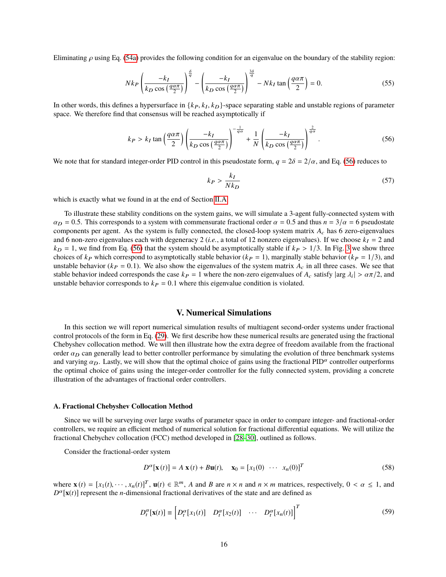Eliminating  $\rho$  using Eq. [\(54a\)](#page-14-0) provides the following condition for an eigenvalue on the boundary of the stability region:

$$
Nk_P \left(\frac{-k_I}{k_D \cos\left(\frac{q\alpha\pi}{2}\right)}\right)^{\frac{\delta}{q}} - \left(\frac{-k_I}{k_D \cos\left(\frac{q\alpha\pi}{2}\right)}\right)^{\frac{3\delta}{q}} - Nk_I \tan\left(\frac{q\alpha\pi}{2}\right) = 0.
$$
 (55)

In other words, this defines a hypersurface in  $\{k_P, k_I, k_D\}$ -space separating stable and unstable regions of parameter space. We therefore find that consensus will be reached asymptotically if space. We therefore find that consensus will be reached asymptotically if

<span id="page-15-0"></span>
$$
k_P > k_I \tan\left(\frac{q\alpha\pi}{2}\right) \left(\frac{-k_I}{k_D \cos\left(\frac{q\alpha\pi}{2}\right)}\right)^{-\frac{1}{q\alpha}} + \frac{1}{N} \left(\frac{-k_I}{k_D \cos\left(\frac{q\alpha\pi}{2}\right)}\right)^{\frac{2}{q\alpha}}.
$$
 (56)

We note that for standard integer-order PID control in this pseudostate form,  $q = 2\delta = 2/\alpha$ , and Eq. [\(56\)](#page-15-0) reduces to

$$
k_P > \frac{k_I}{Nk_D} \tag{57}
$$

which is exactly what we found in at the end of Section [II.A.](#page-2-2)

To illustrate these stability conditions on the system gains, we will simulate a 3-agent fully-connected system with  $\alpha_D = 0.5$ . This corresponds to a system with commensurate fractional order  $\alpha = 0.5$  and thus  $n = 3/\alpha = 6$  pseudostate components per agent. As the system is fully connected, the closed-loop system matrix  $A_c$  has 6 zero-eigenvalues and 6 non-zero eigenvalues each with degeneracy 2 (*i.e.*, a total of 12 nonzero eigenvalues). If we choose  $k<sub>I</sub> = 2$  and  $k_D = 1$ , we find from Eq. [\(56\)](#page-15-0) that the system should be asymptotically stable if  $k_P > 1/3$ . In Fig. [3](#page-16-0) we show three choices of  $kp$  which correspond to asymptotically stable behavior  $(k_P = 1)$ , marginally stable behavior  $(k_P = 1/3)$ , and unstable behavior ( $k_P = 0.1$ ). We also show the eigenvalues of the system matrix  $A_c$  in all three cases. We see that stable behavior indeed corresponds the case  $k_P = 1$  where the non-zero eigenvalues of  $A_c$  satisfy  $|\arg \lambda_i| > \alpha \pi/2$ , and unstable behavior corresponds to  $k_P = 0.1$  where this eigenvalue condition is violated unstable behavior corresponds to  $k_P = 0.1$  where this eigenvalue condition is violated.

## **V. Numerical Simulations**

In this section we will report numerical simulation results of multiagent second-order systems under fractional control protocols of the form in Eq. [\(29\)](#page-9-2). We first describe how these numerical results are generated using the fractional Chebyshev collocation method. We will then illustrate how the extra degree of freedom available from the fractional order  $\alpha_D$  can generally lead to better controller performance by simulating the evolution of three benchmark systems and varying  $\alpha_D$ . Lastly, we will show that the optimal choice of gains using the fractional PID<sup> $\alpha$ </sup> controller outperforms the optimal choice of gains using the integer-order controller for the fully connected system, providing a concrete illustration of the advantages of fractional order controllers.

### **A. Fractional Chebyshev Collocation Method**

Since we will be surveying over large swaths of parameter space in order to compare integer- and fractional-order controllers, we require an efficient method of numerical solution for fractional differential equations. We will utilize the fractional Chebychev collocation (FCC) method developed in [\[28–](#page-22-13)[30\]](#page-22-14), outlined as follows.

Consider the fractional-order system

<span id="page-15-1"></span>
$$
D^{\alpha}[\mathbf{x}(t)] = A \mathbf{x}(t) + B \mathbf{u}(t), \quad \mathbf{x}_0 = [x_1(0) \cdots x_n(0)]^T
$$
 (58)

where  $\mathbf{x}(t) = [x_1(t), \dots, x_n(t)]^T$ ,  $\mathbf{u}(t) \in \mathbb{R}^m$ , *A* and *B* are  $n \times n$  and  $n \times m$  matrices, respectively,  $0 < \alpha \le 1$ , and  $D^{\alpha}[\mathbf{v}(t)]$  represent the *n*-dimensional fractional derivatives of the state and are de  $D^{\alpha}$ [**x**(*t*)] represent the *n*-dimensional fractional derivatives of the state and are defined as

$$
D_t^{\alpha}[\mathbf{x}(t)] \equiv \begin{bmatrix} D_t^{\alpha}[x_1(t)] & D_t^{\alpha}[x_2(t)] & \cdots & D_t^{\alpha}[x_n(t)] \end{bmatrix}^T
$$
 (59)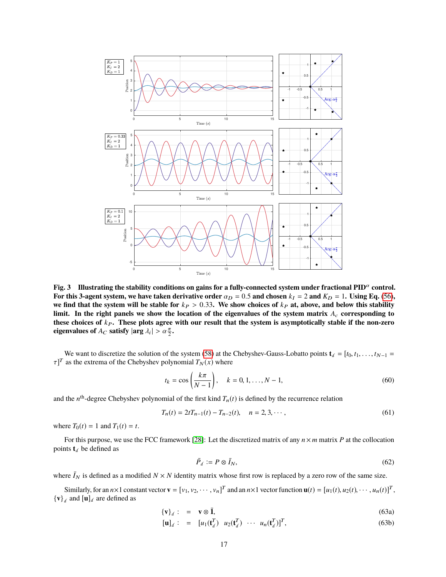<span id="page-16-0"></span>

**Fig. 3 Illustrating the stability conditions on gains for a fully-connected system under fractional PID**<sup>α</sup> **control.** For this 3-agent system, we have taken derivative order  $\alpha_D = 0.5$  and chosen  $k_I = 2$  and  $K_D = 1$ . Using Eq. [\(56\)](#page-15-0), we find that the system will be stable for  $k_P > 0.33$ . We show choices of  $k_P$  at, above, and below this stability **limit. In the right panels we show the location of the eigenvalues of the system matrix** *A*<sup>c</sup> **corresponding to** these choices of  $k_P$ . These plots agree with our result that the system is asymptotically stable if the non-zero **eigenvalues of**  $A_C$  **satisfy**  $|\arg \lambda_i| > \alpha \frac{\pi}{2}$ .

We want to discretize the solution of the system [\(58\)](#page-15-1) at the Chebyshev-Gauss-Lobatto points  $\mathbf{t}_d = [t_0, t_1, \ldots, t_{N-1}]$  $[\tau]^T$  as the extrema of the Chebyshev polynomial  $T_N(x)$  where

$$
t_k = \cos\left(\frac{k\pi}{N-1}\right), \quad k = 0, 1, ..., N-1,
$$
\n(60)

and the  $n^{\text{th}}$ -degree Chebyshev polynomial of the first kind  $T_n(t)$  is defined by the recurrence relation

$$
T_n(t) = 2tT_{n-1}(t) - T_{n-2}(t), \quad n = 2, 3, \cdots,
$$
\n(61)

where  $T_0(t) = 1$  and  $T_1(t) = t$ .

For this purpose, we use the FCC framework [\[28\]](#page-22-13): Let the discretized matrix of any  $n \times m$  matrix P at the collocation points  $t_d$  be defined as

<span id="page-16-1"></span>
$$
\bar{P}_d := P \otimes \bar{I}_N,\tag{62}
$$

where  $\bar{I}_N$  is defined as a modified  $N \times N$  identity matrix whose first row is replaced by a zero row of the same size.

Similarly, for an  $n \times 1$  constant vector  $\mathbf{v} = [v_1, v_2, \dots, v_n]^T$  and an  $n \times 1$  vector function  $\mathbf{u}(t) = [u_1(t), u_2(t), \dots, u_n(t)]^T$ ,  ${\bf \{v\}}_d$  and  ${\bf [u]}_d$  are defined as

<span id="page-16-2"></span>
$$
\{\mathbf{v}\}_d: = \mathbf{v} \otimes \mathbf{\bar{I}},\tag{63a}
$$

$$
[\mathbf{u}]_d: = [u_1(\mathbf{t}_d^T) \quad u_2(\mathbf{t}_d^T) \quad \cdots \quad u_n(\mathbf{t}_d^T)]^T,
$$
\n(63b)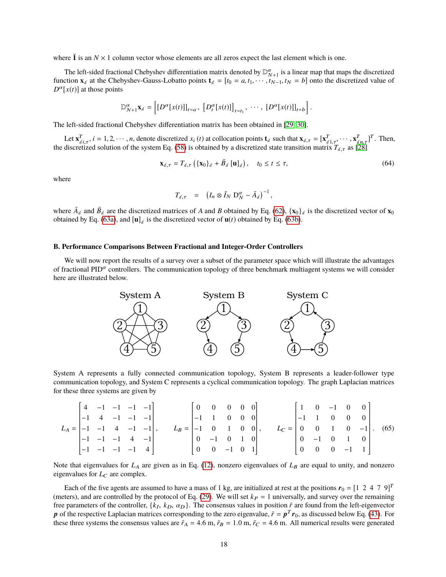where  $\bar{1}$  is an  $N \times 1$  column vector whose elements are all zeros expect the last element which is one.

The left-sided fractional Chebyshev differentiation matrix denoted by  $\mathbb{D}_{N+1}^{\alpha}$  is a linear map that maps the discretized function  $\mathbf{x}_d$  at the Chebyshev-Gauss-Lobatto points  $\mathbf{t}_d = [t_0 = a, t_1, \dots, t_{N-1}, t_N = b]$  onto the discretized value of  $D^{\alpha}[x(t)]$  at those points

$$
\mathbb{D}_{N+1}^{\alpha} \mathbf{x}_d = \left[ [D^{\alpha} [x(t)]]_{t=a}, [D_t^{\alpha} [x(t)]]_{t=t_1}, \cdots, [D^{\alpha} [x(t)]]_{t=b} \right].
$$

The left-sided fractional Chebyshev differentiation matrix has been obtained in [\[29,](#page-22-15) [30\]](#page-22-14).

Let  $\mathbf{x}_{d,\tau}^T$ ,  $i = 1, 2, \dots, n$ , denote discretized  $x_i(t)$  at collocation points  $\mathbf{t}_d$  such that  $\mathbf{x}_{d,\tau} = [\mathbf{x}_{d,1,\tau}^T, \dots, \mathbf{x}_{d,n,\tau}^T]^T$ . Then, discretized solution of the system Eq. (58) is obtained by a discre the discretized solution of the system Eq. [\(58\)](#page-15-1) is obtained by a discretized state transition matrix  $T_{d,\tau}$  as [\[28\]](#page-22-13)

$$
\mathbf{x}_{d,\tau} = T_{d,\tau} \left( \{ \mathbf{x}_0 \}_d + \bar{B}_d \left[ \mathbf{u} \right]_d \right), \quad t_0 \le t \le \tau,
$$
\n
$$
(64)
$$

where

<span id="page-17-0"></span>
$$
T_{d,\tau} = (I_n \otimes \bar{I}_N \mathrm{D}_N^{\alpha} - \bar{A}_d)^{-1},
$$

where  $\bar{A}_d$  and  $\bar{B}_d$  are the discretized matrices of *A* and *B* obtained by Eq. [\(62\)](#page-16-1),  $\{x_0\}_d$  is the discretized vector of  $x_0$ obtained by Eq. [\(63a\)](#page-16-2), and  $[\mathbf{u}]_d$  is the discretized vector of  $\mathbf{u}(t)$  obtained by Eq. [\(63b\)](#page-16-2).

## **B. Performance Comparisons Between Fractional and Integer-Order Controllers**

We will now report the results of a survey over a subset of the parameter space which will illustrate the advantages of fractional PID $\alpha$  controllers. The communication topology of three benchmark multiagent systems we will consider here are illustrated below.



System A represents a fully connected communication topology, System B represents a leader-follower type communication topology, and System C represents a cyclical communication topology. The graph Laplacian matrices for these three systems are given by

$$
L_{A} = \begin{bmatrix} 4 & -1 & -1 & -1 & -1 \\ -1 & 4 & -1 & -1 & -1 \\ -1 & -1 & 4 & -1 & -1 \\ -1 & -1 & -1 & -1 & 4 \end{bmatrix}, \qquad L_{B} = \begin{bmatrix} 0 & 0 & 0 & 0 & 0 \\ -1 & 1 & 0 & 0 & 0 \\ -1 & 0 & 1 & 0 & 0 \\ 0 & -1 & 0 & 1 & 0 \\ 0 & 0 & -1 & 0 & 1 \end{bmatrix}, \qquad L_{C} = \begin{bmatrix} 1 & 0 & -1 & 0 & 0 \\ -1 & 1 & 0 & 0 & 0 \\ 0 & 0 & 1 & 0 & -1 \\ 0 & -1 & 0 & 1 & 0 \\ 0 & 0 & 0 & -1 & 1 \end{bmatrix}.
$$
 (65)

Note that eigenvalues for  $L_A$  are given as in Eq. [\(12\)](#page-4-2), nonzero eigenvalues of  $L_B$  are equal to unity, and nonzero eigenvalues for  $L<sub>C</sub>$  are complex.

Each of the five agents are assumed to have a mass of 1 kg, are initialized at rest at the positions  $r_0 = [1 \ 2 \ 4 \ 7 \ 9]^T$ (meters), and are controlled by the protocol of Eq. [\(29\)](#page-9-2). We will set  $k_P = 1$  universally, and survey over the remaining free parameters of the controller,  $\{k_I, k_D, \alpha_D\}$ . The consensus values in position  $\vec{r}$  are found from the left-eigenvector  $\vec{r}$  of the respective Laplacian matrices corresponding to the zero eigenvalue  $\vec{r} = \vec{n$ p of the respective Laplacian matrices corresponding to the zero eigenvalue,  $\bar{r} = p^T r_0$ , as discussed below Eq. [\(43\)](#page-13-4). For these three systems the consensus values are  $\bar{r}_A = 4.6$  m,  $\bar{r}_B = 1.0$  m,  $\bar{r}_C = 4.6$  m. All numerical results were generated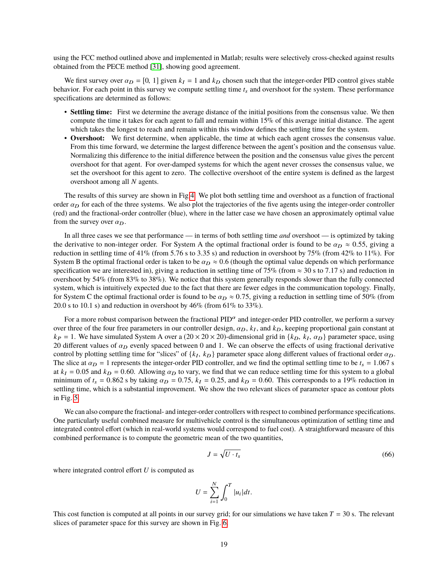using the FCC method outlined above and implemented in Matlab; results were selectively cross-checked against results obtained from the PECE method [\[31\]](#page-22-16), showing good agreement.

We first survey over  $\alpha_D = [0, 1]$  given  $k_I = 1$  and  $k_D$  chosen such that the integer-order PID control gives stable behavior. For each point in this survey we compute settling time  $t_s$  and overshoot for the system. These performance specifications are determined as follows:

- **Settling time:** First we determine the average distance of the initial positions from the consensus value. We then compute the time it takes for each agent to fall and remain within 15% of this average initial distance. The agent which takes the longest to reach and remain within this window defines the settling time for the system.
- **Overshoot:** We first determine, when applicable, the time at which each agent crosses the consensus value. From this time forward, we determine the largest difference between the agent's position and the consensus value. Normalizing this difference to the initial difference between the position and the consensus value gives the percent overshoot for that agent. For over-damped systems for which the agent never crosses the consensus value, we set the overshoot for this agent to zero. The collective overshoot of the entire system is defined as the largest overshoot among all *N* agents.

The results of this survey are shown in Fig[.4.](#page-19-0) We plot both settling time and overshoot as a function of fractional order  $\alpha_D$  for each of the three systems. We also plot the trajectories of the five agents using the integer-order controller (red) and the fractional-order controller (blue), where in the latter case we have chosen an approximately optimal value from the survey over  $\alpha_D$ .

In all three cases we see that performance — in terms of both settling time *and* overshoot — is optimized by taking the derivative to non-integer order. For System A the optimal fractional order is found to be  $\alpha_D \approx 0.55$ , giving a reduction in settling time of 41% (from 5.76 s to 3.35 s) and reduction in overshoot by 75% (from 42% to 11%). For System B the optimal fractional order is taken to be  $\alpha_D \approx 0.6$  (though the optimal value depends on which performance specification we are interested in), giving a reduction in settling time of 75% (from  $\approx$  30 s to 7.17 s) and reduction in overshoot by 54% (from 83% to 38%). We notice that this system generally responds slower than the fully connected system, which is intuitively expected due to the fact that there are fewer edges in the communication topology. Finally, for System C the optimal fractional order is found to be  $\alpha_D \approx 0.75$ , giving a reduction in settling time of 50% (from 20.0 s to 10.1 s) and reduction in overshoot by  $46\%$  (from  $61\%$  to  $33\%$ ).

For a more robust comparison between the fractional  $PID^{\alpha}$  and integer-order PID controller, we perform a survey over three of the four free parameters in our controller design,  $\alpha_D$ ,  $k_I$ , and  $k_D$ , keeping proportional gain constant at  $k_D = 1$ . We have simulated System A over a (20  $\times$  20  $\times$  20)-dimensional grid in  $\{k_D, k_L, \alpha$  $k_P = 1$ . We have simulated System A over a  $(20 \times 20 \times 20)$ -dimensional grid in  $\{k_D, k_I, \alpha_D\}$  parameter space, using 20 different values of  $\alpha_D$  evenly spaced between 0 and 1. We can observe the effects of using fracti 20 different values of  $\alpha_D$  evenly spaced between 0 and 1. We can observe the effects of using fractional derivative control by plotting settling time for "slices" of  $\{k_I, k_D\}$  parameter space along different values of fractional order  $\alpha_D$ .<br>The slice at  $\alpha_D = 1$  represents the integer-order PID controller, and we find the optimal se The slice at  $\alpha_D = 1$  represents the integer-order PID controller, and we find the optimal settling time to be  $t_s = 1.067$  s at  $k_I = 0.05$  and  $k_D = 0.60$ . Allowing  $\alpha_D$  to vary, we find that we can reduce settling time for this system to a global minimum of  $t_s = 0.862$  s by taking  $\alpha_D = 0.75$ ,  $k_I = 0.25$ , and  $k_D = 0.60$ . This corresponds to a 19% reduction in settling time, which is a substantial improvement. We show the two relevant slices of parameter space as contour plots in Fig. [5.](#page-20-0)

We can also compare the fractional- and integer-order controllers with respect to combined performance specifications. One particularly useful combined measure for multivehicle control is the simultaneous optimization of settling time and integrated control effort (which in real-world systems would correspond to fuel cost). A straightforward measure of this combined performance is to compute the geometric mean of the two quantities,

<span id="page-18-0"></span>
$$
J = \sqrt{U \cdot t_s} \tag{66}
$$

where integrated control effort *U* is computed as

$$
U = \sum_{i=1}^{N} \int_0^T |u_i| dt.
$$

This cost function is computed at all points in our survey grid; for our simulations we have taken  $T = 30$  s. The relevant slices of parameter space for this survey are shown in Fig. [6.](#page-20-1)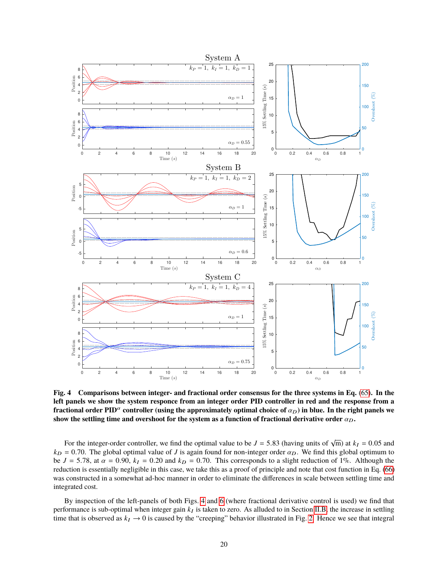<span id="page-19-0"></span>

**Fig. 4 Comparisons between integer- and fractional order consensus for the three systems in Eq.** [\(65\)](#page-17-0)**. In the left panels we show the system responce from an integer order PID controller in red and the response from a fractional order PID<sup>** $\alpha$ **</sup> controller (using the approximately optimal choice of**  $\alpha_D$ **) in blue. In the right panels we** show the settling time and overshoot for the system as a function of fractional derivative order  $\alpha_D$ .

For the integer-order controller, we find the optimal value to be  $J = 5.83$  (having units of  $\sqrt{m}$ ) at  $k_I = 0.05$  and  $-0.70$ . The global optimal value of *I* is again found for pop-integer order  $\alpha_{\rm D}$ . We find this  $k_D = 0.70$ . The global optimal value of *J* is again found for non-integer order  $\alpha_D$ . We find this global optimum to be  $J = 5.78$ , at  $\alpha = 0.90$ ,  $k_I = 0.20$  and  $k_D = 0.70$ . This corresponds to a slight reduction of 1%. Although the reduction is essentially negligible in this case, we take this as a proof of principle and note that cost function in Eq. [\(66\)](#page-18-0) was constructed in a somewhat ad-hoc manner in order to eliminate the differences in scale between settling time and integrated cost.

By inspection of the left-panels of both Figs. [4](#page-19-0) and [6](#page-20-1) (where fractional derivative control is used) we find that performance is sub-optimal when integer gain  $k_I$  is taken to zero. As alluded to in Section [II.B,](#page-5-2) the increase in settling time that is observed as  $k_I \to 0$  is caused by the "creeping" behavior illustrated in Fig. [2.](#page-6-1) Hence we see that integral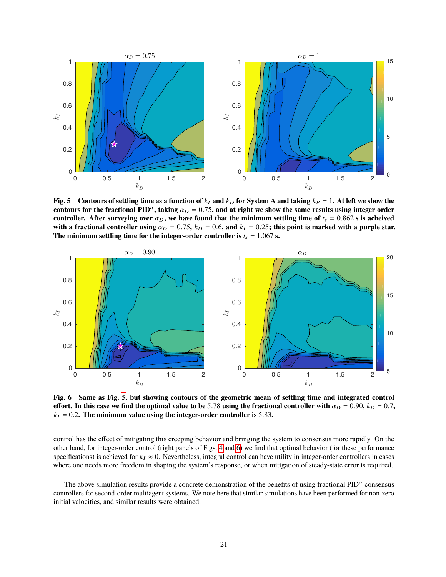<span id="page-20-0"></span>

**Fig. 5** Contours of settling time as a function of  $k_I$  and  $k_D$  for System A and taking  $k_P = 1$ . At left we show the **contours for the fractional PID<sup>** $\alpha$ **</sup>, taking**  $\alpha_D = 0.75$ , and at right we show the same results using integer order **controller.** After surveying over  $\alpha_D$ , we have found that the minimum settling time of  $t_s = 0.862$  s is acheived with a fractional controller using  $\alpha_D = 0.75$ ,  $k_D = 0.6$ , and  $k_I = 0.25$ ; this point is marked with a purple star. The minimum settling time for the integer-order controller is  $t_s = 1.067$  s.

<span id="page-20-1"></span>

**Fig. 6 Same as Fig. [5,](#page-20-0) but showing contours of the geometric mean of settling time and integrated control effort.** In this case we find the optimal value to be 5.78 using the fractional controller with  $\alpha_D = 0.90$ ,  $k_D = 0.7$ ,  $k_I = 0.2$ . The minimum value using the integer-order controller is 5.83.

control has the effect of mitigating this creeping behavior and bringing the system to consensus more rapidly. On the other hand, for integer-order control (right panels of Figs. [4](#page-19-0) and [6\)](#page-20-1) we find that optimal behavior (for these performance specifications) is achieved for  $k_I \approx 0$ . Nevertheless, integral control can have utility in integer-order controllers in cases where one needs more freedom in shaping the system's response, or when mitigation of steady-state error is required.

The above simulation results provide a concrete demonstration of the benefits of using fractional  $PID^{\alpha}$  consensus controllers for second-order multiagent systems. We note here that similar simulations have been performed for non-zero initial velocities, and similar results were obtained.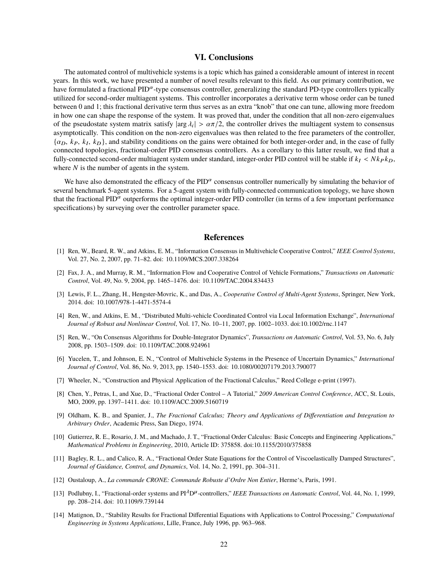## **VI. Conclusions**

The automated control of multivehicle systems is a topic which has gained a considerable amount of interest in recent years. In this work, we have presented a number of novel results relevant to this field. As our primary contribution, we have formulated a fractional  $PID^{\alpha}$ -type consensus controller, generalizing the standard PD-type controllers typically utilized for second-order multiagent systems. This controller incorporates a derivative term whose order can be tuned between 0 and 1; this fractional derivative term thus serves as an extra "knob" that one can tune, allowing more freedom in how one can shape the response of the system. It was proved that, under the condition that all non-zero eigenvalues of the pseudostate system matrix satisfy  $|\arg \lambda_i| > \alpha \pi/2$ , the controller drives the multiagent system to consensus asymptotically. This condition on the non-zero eigenvalues was then related to the free parameters of the asymptotically. This condition on the non-zero eigenvalues was then related to the free parameters of the controller,  $\{a_D, k_P, k_I, k_D\}$ , and stability conditions on the gains were obtained for both integer-order and, in the case of fully connected topologies, fractional-order PID consensus controllers. As a corollary to this latter resul connected topologies, fractional-order PID consensus controllers. As a corollary to this latter result, we find that a fully-connected second-order multiagent system under standard, integer-order PID control will be stable if  $k_I < N k_P k_D$ , where *N* is the number of agents in the system.

We have also demonstrated the efficacy of the  $PID^{\alpha}$  consensus controller numerically by simulating the behavior of several benchmark 5-agent systems. For a 5-agent system with fully-connected communication topology, we have shown that the fractional PID $\alpha$  outperforms the optimal integer-order PID controller (in terms of a few important performance specifications) by surveying over the controller parameter space.

## **References**

- <span id="page-21-0"></span>[1] Ren, W., Beard, R. W., and Atkins, E. M., "Information Consensus in Multivehicle Cooperative Control," *IEEE Control Systems*, Vol. 27, No. 2, 2007, pp. 71–82. doi: 10.1109/MCS.2007.338264
- <span id="page-21-5"></span>[2] Fax, J. A., and Murray, R. M., "Information Flow and Cooperative Control of Vehicle Formations," *Transactions on Automatic Control*, Vol. 49, No. 9, 2004, pp. 1465–1476. doi: 10.1109/TAC.2004.834433
- <span id="page-21-1"></span>[3] Lewis, F. L., Zhang, H., Hengster-Movric, K., and Das, A., *Cooperative Control of Multi-Agent Systems*, Springer, New York, 2014. doi: 10.1007/978-1-4471-5574-4
- <span id="page-21-2"></span>[4] Ren, W., and Atkins, E. M., "Distributed Multi-vehicle Coordinated Control via Local Information Exchange", *International Journal of Robust and Nonlinear Control*, Vol. 17, No. 10–11, 2007, pp. 1002–1033. doi:10.1002/rnc.1147
- <span id="page-21-3"></span>[5] Ren, W., "On Consensus Algorithms for Double-Integrator Dynamics", *Transactions on Automatic Control*, Vol. 53, No. 6, July 2008, pp. 1503–1509. doi: 10.1109/TAC.2008.924961
- <span id="page-21-4"></span>[6] Yucelen, T., and Johnson, E. N., "Control of Multivehicle Systems in the Presence of Uncertain Dynamics," *International Journal of Control*, Vol. 86, No. 9, 2013, pp. 1540–1553. doi: 10.1080/00207179.2013.790077
- <span id="page-21-6"></span>[7] Wheeler, N., "Construction and Physical Application of the Fractional Calculus," Reed College e-print (1997).
- <span id="page-21-7"></span>[8] Chen, Y., Petras, I., and Xue, D., "Fractional Order Control – A Tutorial," *2009 American Control Conference*, ACC, St. Louis, MO, 2009, pp. 1397–1411. doi: 10.1109/ACC.2009.5160719
- <span id="page-21-13"></span>[9] Oldham, K. B., and Spanier, J., *The Fractional Calculus; Theory and Applications of Differentiation and Integration to Arbitrary Order*, Academic Press, San Diego, 1974.
- <span id="page-21-8"></span>[10] Gutierrez, R. E., Rosario, J. M., and Machado, J. T., "Fractional Order Calculus: Basic Concepts and Engineering Applications," *Mathematical Problems in Engineering*, 2010, Article ID: 375858. doi:10.1155/2010/375858
- <span id="page-21-9"></span>[11] Bagley, R. L., and Calico, R. A., "Fractional Order State Equations for the Control of Viscoelastically Damped Structures", *Journal of Guidance, Control, and Dynamics*, Vol. 14, No. 2, 1991, pp. 304–311.
- <span id="page-21-10"></span>[12] Oustaloup, A., *La commande CRONE: Commande Robuste d'Ordre Non Entier*, Herme's, Paris, 1991.
- <span id="page-21-11"></span>[13] Podlubny, I., "Fractional-order systems and PI<sup>A</sup>D<sup> $\mu$ </sup>-controllers," *IEEE Transactions on Automatic Control*, Vol. 44, No. 1, 1999, pp. 208–214. doi: 10.1109/9.739144
- <span id="page-21-12"></span>[14] Matignon, D., "Stability Results for Fractional Differential Equations with Applications to Control Processing," *Computational Engineering in Systems Applications*, Lille, France, July 1996, pp. 963–968.